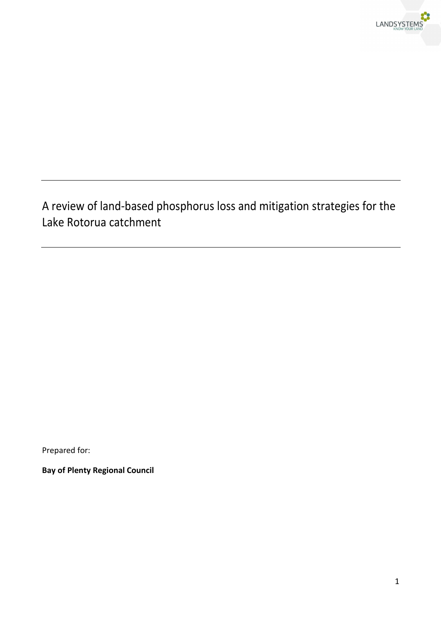

# A review of land-based phosphorus loss and mitigation strategies for the Lake Rotorua catchment

Prepared for:

**Bay of Plenty Regional Council**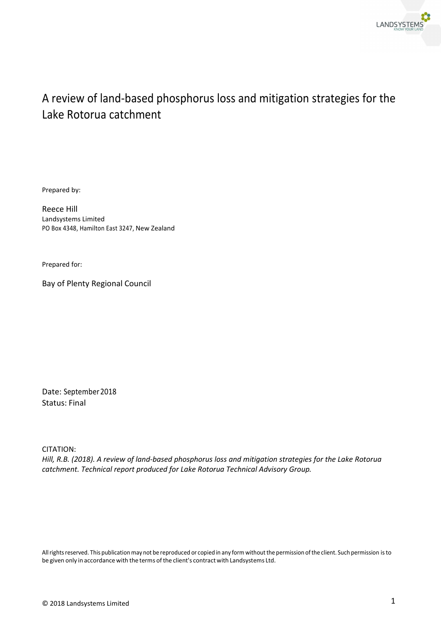

# A review of land-based phosphorus loss and mitigation strategies for the Lake Rotorua catchment

Prepared by:

Reece Hill Landsystems Limited PO Box 4348, Hamilton East 3247, New Zealand

Prepared for:

Bay of Plenty Regional Council

Date: September 2018 Status: Final

CITATION:

*Hill, R.B. (2018). A review of land-based phosphorus loss and mitigation strategies for the Lake Rotorua catchment. Technical report produced for Lake Rotorua Technical Advisory Group.*

All rights reserved. This publication may not be reproduced or copied in any form without the permission of the client. Such permission is to be given only in accordance with the terms of the client's contract with Landsystems Ltd.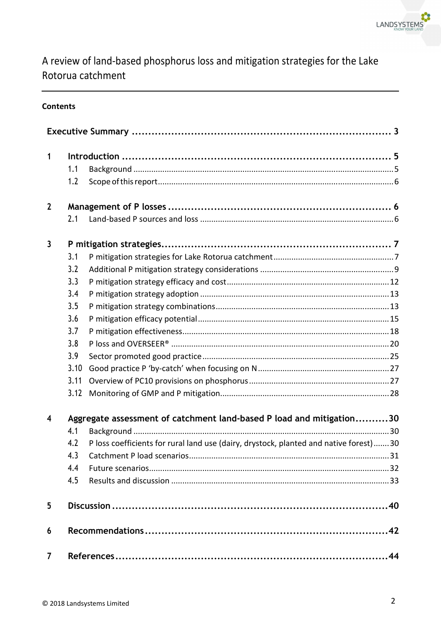

# A review of land-based phosphorus loss and mitigation strategies for the Lake Rotorua catchment

## **Contents**

| $\mathbf{1}$   |      |                                                                                       |
|----------------|------|---------------------------------------------------------------------------------------|
|                | 1.1  |                                                                                       |
|                | 1.2  |                                                                                       |
| $\overline{2}$ |      |                                                                                       |
|                | 2.1  |                                                                                       |
| 3              |      |                                                                                       |
|                | 3.1  |                                                                                       |
|                | 3.2  |                                                                                       |
|                | 3.3  |                                                                                       |
|                | 3.4  |                                                                                       |
|                | 3.5  |                                                                                       |
|                | 3.6  |                                                                                       |
|                | 3.7  |                                                                                       |
|                | 3.8  |                                                                                       |
|                | 3.9  |                                                                                       |
|                | 3.10 |                                                                                       |
|                | 3.11 |                                                                                       |
|                | 3.12 |                                                                                       |
| $\overline{4}$ |      | Aggregate assessment of catchment land-based P load and mitigation30                  |
|                | 4.1  |                                                                                       |
|                | 4.2  | P loss coefficients for rural land use (dairy, drystock, planted and native forest)30 |
|                | 4.3  | .31                                                                                   |
|                | 4.4  |                                                                                       |
|                | 4.5  |                                                                                       |
| 5              |      |                                                                                       |
| 6              |      |                                                                                       |
| $\overline{7}$ |      | .44                                                                                   |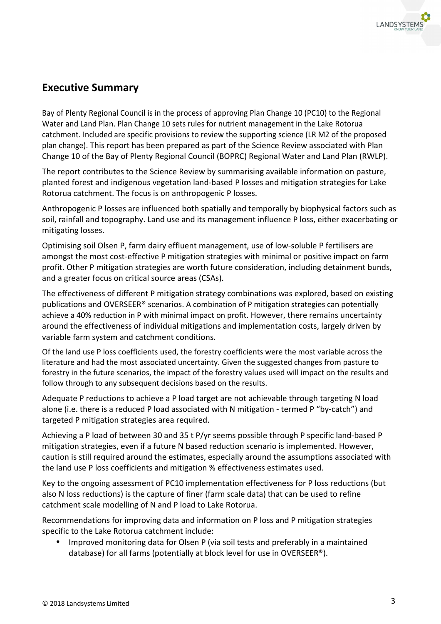

# **Executive Summary**

Bay of Plenty Regional Council is in the process of approving Plan Change 10 (PC10) to the Regional Water and Land Plan. Plan Change 10 sets rules for nutrient management in the Lake Rotorua catchment. Included are specific provisions to review the supporting science (LR M2 of the proposed plan change). This report has been prepared as part of the Science Review associated with Plan Change 10 of the Bay of Plenty Regional Council (BOPRC) Regional Water and Land Plan (RWLP).

The report contributes to the Science Review by summarising available information on pasture, planted forest and indigenous vegetation land-based P losses and mitigation strategies for Lake Rotorua catchment. The focus is on anthropogenic P losses.

Anthropogenic P losses are influenced both spatially and temporally by biophysical factors such as soil, rainfall and topography. Land use and its management influence P loss, either exacerbating or mitigating losses.

Optimising soil Olsen P, farm dairy effluent management, use of low-soluble P fertilisers are amongst the most cost-effective P mitigation strategies with minimal or positive impact on farm profit. Other P mitigation strategies are worth future consideration, including detainment bunds, and a greater focus on critical source areas (CSAs).

The effectiveness of different P mitigation strategy combinations was explored, based on existing publications and OVERSEER® scenarios. A combination of P mitigation strategies can potentially achieve a 40% reduction in P with minimal impact on profit. However, there remains uncertainty around the effectiveness of individual mitigations and implementation costs, largely driven by variable farm system and catchment conditions.

Of the land use P loss coefficients used, the forestry coefficients were the most variable across the literature and had the most associated uncertainty. Given the suggested changes from pasture to forestry in the future scenarios, the impact of the forestry values used will impact on the results and follow through to any subsequent decisions based on the results.

Adequate P reductions to achieve a P load target are not achievable through targeting N load alone (i.e. there is a reduced P load associated with N mitigation - termed P "by-catch") and targeted P mitigation strategies area required.

Achieving a P load of between 30 and 35 t P/yr seems possible through P specific land-based P mitigation strategies, even if a future N based reduction scenario is implemented. However, caution is still required around the estimates, especially around the assumptions associated with the land use P loss coefficients and mitigation % effectiveness estimates used.

Key to the ongoing assessment of PC10 implementation effectiveness for P loss reductions (but also N loss reductions) is the capture of finer (farm scale data) that can be used to refine catchment scale modelling of N and P load to Lake Rotorua.

Recommendations for improving data and information on P loss and P mitigation strategies specific to the Lake Rotorua catchment include:

• Improved monitoring data for Olsen P (via soil tests and preferably in a maintained database) for all farms (potentially at block level for use in OVERSEER®).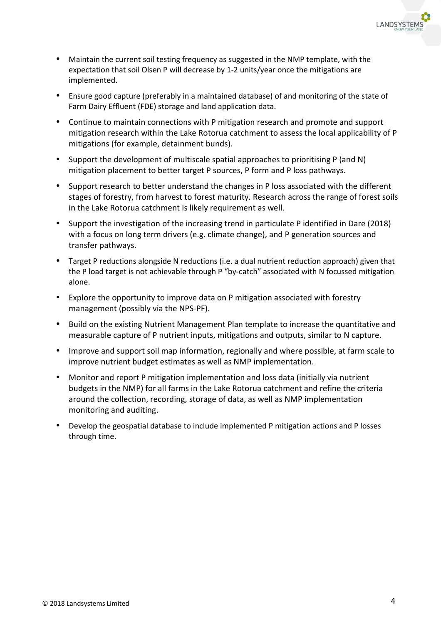

- Maintain the current soil testing frequency as suggested in the NMP template, with the expectation that soil Olsen P will decrease by 1-2 units/year once the mitigations are implemented.
- Ensure good capture (preferably in a maintained database) of and monitoring of the state of Farm Dairy Effluent (FDE) storage and land application data.
- Continue to maintain connections with P mitigation research and promote and support mitigation research within the Lake Rotorua catchment to assess the local applicability of P mitigations (for example, detainment bunds).
- Support the development of multiscale spatial approaches to prioritising P (and N) mitigation placement to better target P sources, P form and P loss pathways.
- Support research to better understand the changes in P loss associated with the different stages of forestry, from harvest to forest maturity. Research across the range of forest soils in the Lake Rotorua catchment is likely requirement as well.
- Support the investigation of the increasing trend in particulate P identified in Dare (2018) with a focus on long term drivers (e.g. climate change), and P generation sources and transfer pathways.
- Target P reductions alongside N reductions (i.e. a dual nutrient reduction approach) given that the P load target is not achievable through P "by-catch" associated with N focussed mitigation alone.
- Explore the opportunity to improve data on P mitigation associated with forestry management (possibly via the NPS-PF).
- Build on the existing Nutrient Management Plan template to increase the quantitative and measurable capture of P nutrient inputs, mitigations and outputs, similar to N capture.
- Improve and support soil map information, regionally and where possible, at farm scale to improve nutrient budget estimates as well as NMP implementation.
- Monitor and report P mitigation implementation and loss data (initially via nutrient budgets in the NMP) for all farms in the Lake Rotorua catchment and refine the criteria around the collection, recording, storage of data, as well as NMP implementation monitoring and auditing.
- Develop the geospatial database to include implemented P mitigation actions and P losses through time.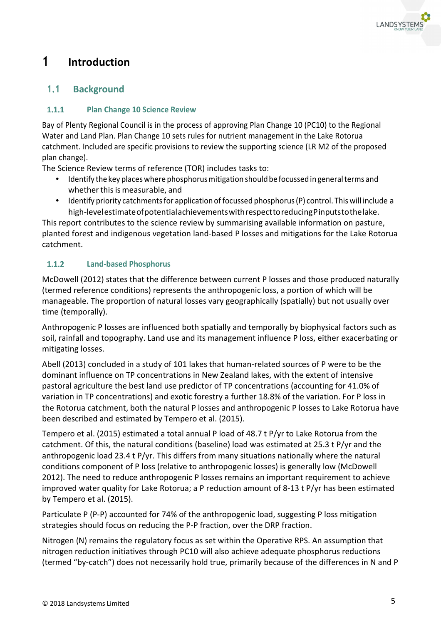

# **1 Introduction**

# **1.1 Background**

### **Plan Change 10 Science Review**   $1.1.1$

Bay of Plenty Regional Council is in the process of approving Plan Change 10 (PC10) to the Regional Water and Land Plan. Plan Change 10 sets rules for nutrient management in the Lake Rotorua catchment. Included are specific provisions to review the supporting science (LR M2 of the proposed plan change).

The Science Review terms of reference (TOR) includes tasks to:

- Identify the key places where phosphorus mitigation should be focussed in general terms and whether this is measurable, and
- Identify priority catchments for application of focussed phosphorus (P) control. This will include a high-level estimate of potential achievements with respect to reducing P inputs to the lake.

This report contributes to the science review by summarising available information on pasture, planted forest and indigenous vegetation land-based P losses and mitigations for the Lake Rotorua catchment.

### $1.1.2$ **Land-based Phosphorus**

McDowell (2012) states that the difference between current P losses and those produced naturally (termed reference conditions) represents the anthropogenic loss, a portion of which will be manageable. The proportion of natural losses vary geographically (spatially) but not usually over time (temporally).

Anthropogenic P losses are influenced both spatially and temporally by biophysical factors such as soil, rainfall and topography. Land use and its management influence P loss, either exacerbating or mitigating losses.

Abell (2013) concluded in a study of 101 lakes that human-related sources of P were to be the dominant influence on TP concentrations in New Zealand lakes, with the extent of intensive pastoral agriculture the best land use predictor of TP concentrations (accounting for 41.0% of variation in TP concentrations) and exotic forestry a further 18.8% of the variation. For P loss in the Rotorua catchment, both the natural P losses and anthropogenic P losses to Lake Rotorua have been described and estimated by Tempero et al. (2015).

Tempero et al. (2015) estimated a total annual P load of 48.7 t P/yr to Lake Rotorua from the catchment. Of this, the natural conditions (baseline) load was estimated at 25.3 t P/yr and the anthropogenic load 23.4 t P/yr. This differs from many situations nationally where the natural conditions component of P loss (relative to anthropogenic losses) is generally low (McDowell 2012). The need to reduce anthropogenic P losses remains an important requirement to achieve improved water quality for Lake Rotorua; a P reduction amount of 8-13 t P/yr has been estimated by Tempero et al. (2015).

Particulate P (P-P) accounted for 74% of the anthropogenic load, suggesting P loss mitigation strategies should focus on reducing the P-P fraction, over the DRP fraction.

Nitrogen (N) remains the regulatory focus as set within the Operative RPS. An assumption that nitrogen reduction initiatives through PC10 will also achieve adequate phosphorus reductions (termed "by-catch") does not necessarily hold true, primarily because of the differences in N and P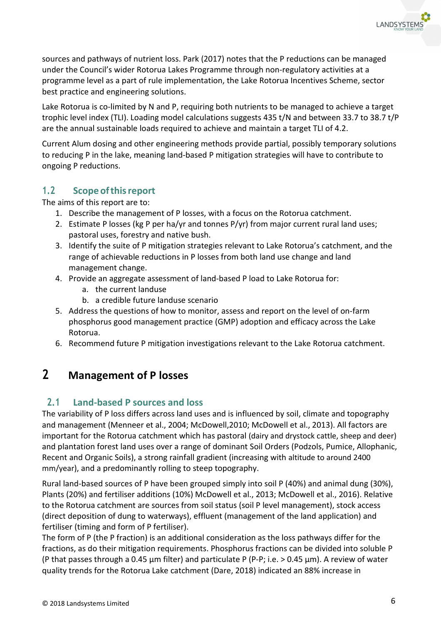sources and pathways of nutrient loss. Park (2017) notes that the P reductions can be managed under the Council's wider Rotorua Lakes Programme through non-regulatory activities at a programme level as a part of rule implementation, the Lake Rotorua Incentives Scheme, sector best practice and engineering solutions.

Lake Rotorua is co-limited by N and P, requiring both nutrients to be managed to achieve a target trophic level index (TLI). Loading model calculations suggests 435 t/N and between 33.7 to 38.7 t/P are the annual sustainable loads required to achieve and maintain a target TLI of 4.2.

Current Alum dosing and other engineering methods provide partial, possibly temporary solutions to reducing P in the lake, meaning land-based P mitigation strategies will have to contribute to ongoing P reductions.

# **1.2 Scope of this report**

The aims of this report are to:

- 1. Describe the management of P losses, with a focus on the Rotorua catchment.
- 2. Estimate P losses (kg P per ha/yr and tonnes  $P/yr$ ) from major current rural land uses; pastoral uses, forestry and native bush.
- 3. Identify the suite of P mitigation strategies relevant to Lake Rotorua's catchment, and the range of achievable reductions in P losses from both land use change and land management change.
- 4. Provide an aggregate assessment of land-based P load to Lake Rotorua for:
	- a. the current landuse
	- b. a credible future landuse scenario
- 5. Address the questions of how to monitor, assess and report on the level of on-farm phosphorus good management practice (GMP) adoption and efficacy across the Lake Rotorua.
- 6. Recommend future P mitigation investigations relevant to the Lake Rotorua catchment.

# **2 Management of P losses**

## **2.1 Land-based P sources and loss**

The variability of P loss differs across land uses and is influenced by soil, climate and topography and management (Menneer et al., 2004; McDowell,2010; McDowell et al., 2013). All factors are important for the Rotorua catchment which has pastoral (dairy and drystock cattle, sheep and deer) and plantation forest land uses over a range of dominant Soil Orders (Podzols, Pumice, Allophanic, Recent and Organic Soils), a strong rainfall gradient (increasing with altitude to around 2400 mm/year), and a predominantly rolling to steep topography.

Rural land-based sources of P have been grouped simply into soil P (40%) and animal dung (30%), Plants (20%) and fertiliser additions (10%) McDowell et al., 2013; McDowell et al., 2016). Relative to the Rotorua catchment are sources from soil status (soil P level management), stock access (direct deposition of dung to waterways), effluent (management of the land application) and fertiliser (timing and form of P fertiliser).

The form of P (the P fraction) is an additional consideration as the loss pathways differ for the fractions, as do their mitigation requirements. Phosphorus fractions can be divided into soluble P (P that passes through a 0.45  $\mu$ m filter) and particulate P (P-P; i.e.  $> 0.45 \mu$ m). A review of water quality trends for the Rotorua Lake catchment (Dare, 2018) indicated an 88% increase in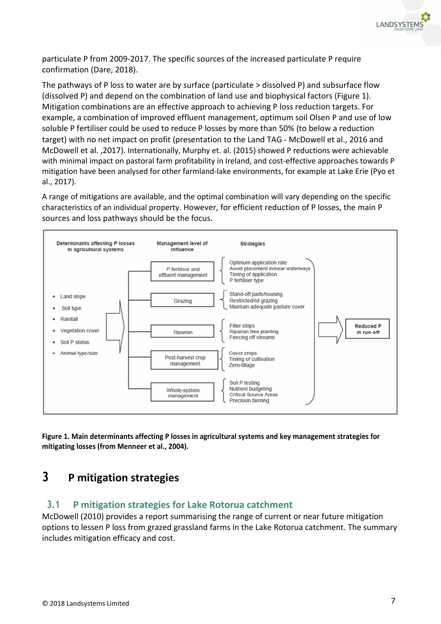

particulate P from 2009-2017. The specific sources of the increased particulate P require confirmation (Dare, 2018).

The pathways of P loss to water are by surface (particulate > dissolved P) and subsurface flow (dissolved P) and depend on the combination of land use and biophysical factors (Figure 1). Mitigation combinations are an effective approach to achieving P loss reduction targets. For example, a combination of improved effluent management, optimum soil Olsen P and use of low soluble P fertiliser could be used to reduce P losses by more than 50% (to below a reduction target) with no net impact on profit (presentation to the Land TAG - McDowell et al., 2016 and McDowell et al. ,2017). Internationally, Murphy et. al. (2015) showed P reductions were achievable with minimal impact on pastoral farm profitability in Ireland, and cost-effective approaches towards P mitigation have been analysed for other farmland-lake environments, for example at Lake Erie (Pyo et al., 2017).

A range of mitigations are available, and the optimal combination will vary depending on the specific characteristics of an individual property. However, for efficient reduction of P losses, the main P sources and loss pathways should be the focus.



**Figure 1. Main determinants affecting P losses in agricultural systems and key management strategies for mitigating losses (from Menneer et al., 2004).** 

# **3 P mitigation strategies**

## **3.1 P mitigation strategies for Lake Rotorua catchment**

McDowell (2010) provides a report summarising the range of current or near future mitigation options to lessen P loss from grazed grassland farms in the Lake Rotorua catchment. The summary includes mitigation efficacy and cost.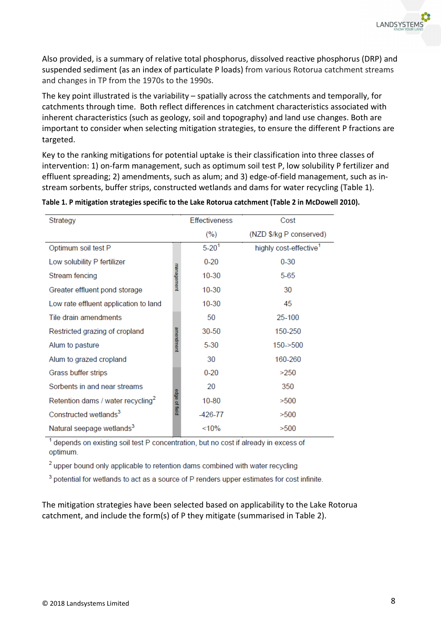Also provided, is a summary of relative total phosphorus, dissolved reactive phosphorus (DRP) and suspended sediment (as an index of particulate P loads) from various Rotorua catchment streams and changes in TP from the 1970s to the 1990s.

The key point illustrated is the variability – spatially across the catchments and temporally, for catchments through time. Both reflect differences in catchment characteristics associated with inherent characteristics (such as geology, soil and topography) and land use changes. Both are important to consider when selecting mitigation strategies, to ensure the different P fractions are targeted.

Key to the ranking mitigations for potential uptake is their classification into three classes of intervention: 1) on-farm management, such as optimum soil test P, low solubility P fertilizer and effluent spreading; 2) amendments, such as alum; and 3) edge-of-field management, such as instream sorbents, buffer strips, constructed wetlands and dams for water recycling (Table 1).

| Strategy                                      |               | Effectiveness | Cost                               |
|-----------------------------------------------|---------------|---------------|------------------------------------|
|                                               |               | (%)           | (NZD \$/kg P conserved)            |
| Optimum soil test P                           |               | $5 - 201$     | highly cost-effective <sup>1</sup> |
| Low solubility P fertilizer                   |               | $0 - 20$      | $0 - 30$                           |
| Stream fencing                                | management    | 10-30         | $5-65$                             |
| Greater effluent pond storage                 |               | 10-30         | 30                                 |
| Low rate effluent application to land         |               | 10-30         | 45                                 |
| Tile drain amendments                         |               | 50            | 25-100                             |
| Restricted grazing of cropland                |               | 30-50         | 150-250                            |
| Alum to pasture                               | amerdment     | $5 - 30$      | $150 - 500$                        |
| Alum to grazed cropland                       |               | 30            | 160-260                            |
| Grass buffer strips                           |               | $0 - 20$      | >250                               |
| Sorbents in and near streams                  |               | 20            | 350                                |
| Retention dams / water recycling <sup>2</sup> | edge of field | $10 - 80$     | >500                               |
| Constructed wetlands <sup>3</sup>             |               | $-426-77$     | >500                               |
| Natural seepage wetlands <sup>3</sup>         |               | <10%          | >500                               |

**Table 1. P mitigation strategies specific to the Lake Rotorua catchment (Table 2 in McDowell 2010).** 

<sup>1</sup> depends on existing soil test P concentration, but no cost if already in excess of optimum.

<sup>2</sup> upper bound only applicable to retention dams combined with water recycling

<sup>3</sup> potential for wetlands to act as a source of P renders upper estimates for cost infinite.

The mitigation strategies have been selected based on applicability to the Lake Rotorua catchment, and include the form(s) of P they mitigate (summarised in Table 2).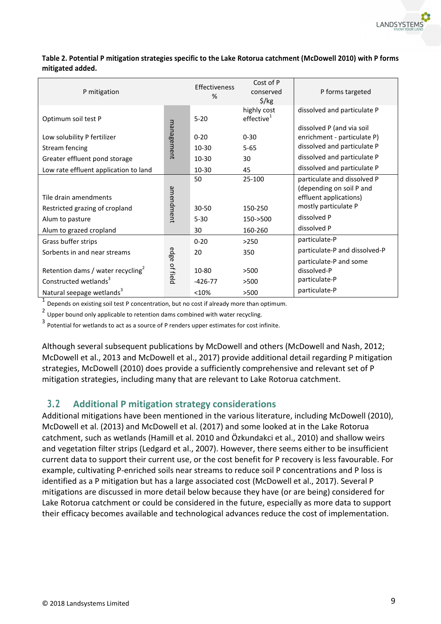

| Table 2. Potential P mitigation strategies specific to the Lake Rotorua catchment (McDowell 2010) with P forms |
|----------------------------------------------------------------------------------------------------------------|
| mitigated added.                                                                                               |

| P mitigation                                                                       |               | Effectiveness<br>% | Cost of P<br>conserved<br>$\frac{2}{3}$ /kg | P forms targeted                                         |
|------------------------------------------------------------------------------------|---------------|--------------------|---------------------------------------------|----------------------------------------------------------|
| Optimum soil test P                                                                |               | $5 - 20$           | highly cost<br>effective <sup>1</sup>       | dissolved and particulate P                              |
| Low solubility P fertilizer                                                        | management    | $0 - 20$           | $0 - 30$                                    | dissolved P (and via soil<br>enrichment - particulate P) |
| Stream fencing                                                                     |               | $10 - 30$          | $5 - 65$                                    | dissolved and particulate P                              |
| Greater effluent pond storage                                                      |               | $10 - 30$          | 30                                          | dissolved and particulate P                              |
| Low rate effluent application to land                                              |               | 10-30              | 45                                          | dissolved and particulate P                              |
|                                                                                    |               | 50                 | 25-100                                      | particulate and dissolved P<br>(depending on soil P and  |
| Tile drain amendments                                                              | amendment     |                    |                                             | effluent applications)                                   |
| Restricted grazing of cropland                                                     |               | $30 - 50$          | 150-250                                     | mostly particulate P                                     |
| Alum to pasture                                                                    |               | $5 - 30$           | $150 - 500$                                 | dissolved P                                              |
| Alum to grazed cropland                                                            |               | 30                 | 160-260                                     | dissolved P                                              |
| Grass buffer strips                                                                |               | $0 - 20$           | >250                                        | particulate-P                                            |
| Sorbents in and near streams                                                       |               | 20                 | 350                                         | particulate-P and dissolved-P                            |
| Retention dams / water recycling <sup>2</sup><br>Constructed wetlands <sup>3</sup> | edge of field | 10-80<br>$-426-77$ | >500<br>>500                                | particulate-P and some<br>dissolved-P<br>particulate-P   |
| Natural seepage wetlands <sup>3</sup>                                              |               | <10%               | >500                                        | particulate-P                                            |

 $<sup>1</sup>$  Depends on existing soil test P concentration, but no cost if already more than optimum.</sup>

 $2$  Upper bound only applicable to retention dams combined with water recycling.

3 Potential for wetlands to act as a source of P renders upper estimates for cost infinite.

Although several subsequent publications by McDowell and others (McDowell and Nash, 2012; McDowell et al., 2013 and McDowell et al., 2017) provide additional detail regarding P mitigation strategies, McDowell (2010) does provide a sufficiently comprehensive and relevant set of P mitigation strategies, including many that are relevant to Lake Rotorua catchment.

## **3.2 Additional P mitigation strategy considerations**

Additional mitigations have been mentioned in the various literature, including McDowell (2010), McDowell et al. (2013) and McDowell et al. (2017) and some looked at in the Lake Rotorua catchment, such as wetlands (Hamill et al. 2010 and Özkundakci et al., 2010) and shallow weirs and vegetation filter strips (Ledgard et al., 2007). However, there seems either to be insufficient current data to support their current use, or the cost benefit for P recovery is less favourable. For example, cultivating P-enriched soils near streams to reduce soil P concentrations and P loss is identified as a P mitigation but has a large associated cost (McDowell et al., 2017). Several P mitigations are discussed in more detail below because they have (or are being) considered for Lake Rotorua catchment or could be considered in the future, especially as more data to support their efficacy becomes available and technological advances reduce the cost of implementation.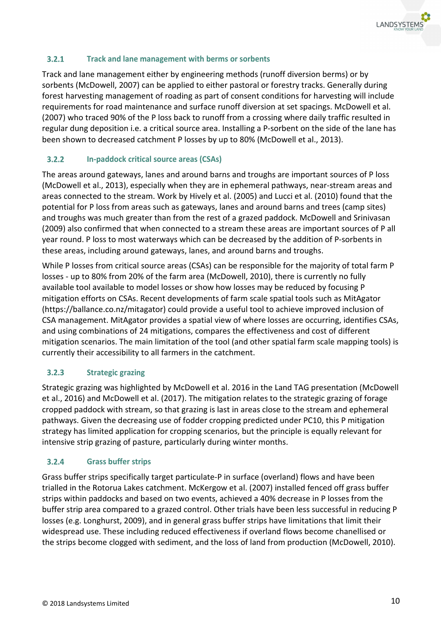

#### $3.2.1$ **Track and lane management with berms or sorbents**

Track and lane management either by engineering methods (runoff diversion berms) or by sorbents (McDowell, 2007) can be applied to either pastoral or forestry tracks. Generally during forest harvesting management of roading as part of consent conditions for harvesting will include requirements for road maintenance and surface runoff diversion at set spacings. McDowell et al. (2007) who traced 90% of the P loss back to runoff from a crossing where daily traffic resulted in regular dung deposition i.e. a critical source area. Installing a P-sorbent on the side of the lane has been shown to decreased catchment P losses by up to 80% (McDowell et al., 2013).

#### $3.2.2$ **In-paddock critical source areas (CSAs)**

The areas around gateways, lanes and around barns and troughs are important sources of P loss (McDowell et al., 2013), especially when they are in ephemeral pathways, near-stream areas and areas connected to the stream. Work by Hively et al. (2005) and Lucci et al. (2010) found that the potential for P loss from areas such as gateways, lanes and around barns and trees (camp sites) and troughs was much greater than from the rest of a grazed paddock. McDowell and Srinivasan (2009) also confirmed that when connected to a stream these areas are important sources of P all year round. P loss to most waterways which can be decreased by the addition of P-sorbents in these areas, including around gateways, lanes, and around barns and troughs.

While P losses from critical source areas (CSAs) can be responsible for the majority of total farm P losses - up to 80% from 20% of the farm area (McDowell, 2010), there is currently no fully available tool available to model losses or show how losses may be reduced by focusing P mitigation efforts on CSAs. Recent developments of farm scale spatial tools such as MitAgator (https://ballance.co.nz/mitagator) could provide a useful tool to achieve improved inclusion of CSA management. MitAgator provides a spatial view of where losses are occurring, identifies CSAs, and using combinations of 24 mitigations, compares the effectiveness and cost of different mitigation scenarios. The main limitation of the tool (and other spatial farm scale mapping tools) is currently their accessibility to all farmers in the catchment.

### $3.2.3$ **Strategic grazing**

Strategic grazing was highlighted by McDowell et al. 2016 in the Land TAG presentation (McDowell et al., 2016) and McDowell et al. (2017). The mitigation relates to the strategic grazing of forage cropped paddock with stream, so that grazing is last in areas close to the stream and ephemeral pathways. Given the decreasing use of fodder cropping predicted under PC10, this P mitigation strategy has limited application for cropping scenarios, but the principle is equally relevant for intensive strip grazing of pasture, particularly during winter months.

#### $3.2.4$ **Grass buffer strips**

Grass buffer strips specifically target particulate-P in surface (overland) flows and have been trialled in the Rotorua Lakes catchment. McKergow et al. (2007) installed fenced off grass buffer strips within paddocks and based on two events, achieved a 40% decrease in P losses from the buffer strip area compared to a grazed control. Other trials have been less successful in reducing P losses (e.g. Longhurst, 2009), and in general grass buffer strips have limitations that limit their widespread use. These including reduced effectiveness if overland flows become chanellised or the strips become clogged with sediment, and the loss of land from production (McDowell, 2010).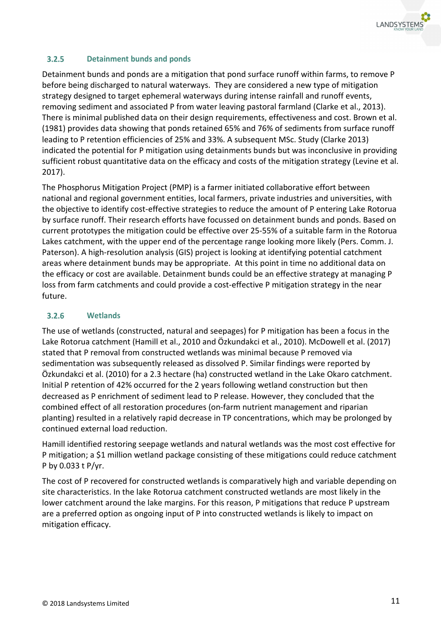

### $3.2.5$ **Detainment bunds and ponds**

Detainment bunds and ponds are a mitigation that pond surface runoff within farms, to remove P before being discharged to natural waterways. They are considered a new type of mitigation strategy designed to target ephemeral waterways during intense rainfall and runoff events, removing sediment and associated P from water leaving pastoral farmland (Clarke et al., 2013). There is minimal published data on their design requirements, effectiveness and cost. Brown et al. (1981) provides data showing that ponds retained 65% and 76% of sediments from surface runoff leading to P retention efficiencies of 25% and 33%. A subsequent MSc. Study (Clarke 2013) indicated the potential for P mitigation using detainments bunds but was inconclusive in providing sufficient robust quantitative data on the efficacy and costs of the mitigation strategy (Levine et al. 2017).

The Phosphorus Mitigation Project (PMP) is a farmer initiated collaborative effort between national and regional government entities, local farmers, private industries and universities, with the objective to identify cost-effective strategies to reduce the amount of P entering Lake Rotorua by surface runoff. Their research efforts have focussed on detainment bunds and ponds. Based on current prototypes the mitigation could be effective over 25-55% of a suitable farm in the Rotorua Lakes catchment, with the upper end of the percentage range looking more likely (Pers. Comm. J. Paterson). A high-resolution analysis (GIS) project is looking at identifying potential catchment areas where detainment bunds may be appropriate. At this point in time no additional data on the efficacy or cost are available. Detainment bunds could be an effective strategy at managing P loss from farm catchments and could provide a cost-effective P mitigation strategy in the near future.

#### $3.2.6$ **Wetlands**

The use of wetlands (constructed, natural and seepages) for P mitigation has been a focus in the Lake Rotorua catchment (Hamill et al., 2010 and Özkundakci et al., 2010). McDowell et al. (2017) stated that P removal from constructed wetlands was minimal because P removed via sedimentation was subsequently released as dissolved P. Similar findings were reported by Özkundakci et al. (2010) for a 2.3 hectare (ha) constructed wetland in the Lake Okaro catchment. Initial P retention of 42% occurred for the 2 years following wetland construction but then decreased as P enrichment of sediment lead to P release. However, they concluded that the combined effect of all restoration procedures (on-farm nutrient management and riparian planting) resulted in a relatively rapid decrease in TP concentrations, which may be prolonged by continued external load reduction.

Hamill identified restoring seepage wetlands and natural wetlands was the most cost effective for P mitigation; a \$1 million wetland package consisting of these mitigations could reduce catchment P by 0.033 t P/yr.

The cost of P recovered for constructed wetlands is comparatively high and variable depending on site characteristics. In the lake Rotorua catchment constructed wetlands are most likely in the lower catchment around the lake margins. For this reason, P mitigations that reduce P upstream are a preferred option as ongoing input of P into constructed wetlands is likely to impact on mitigation efficacy.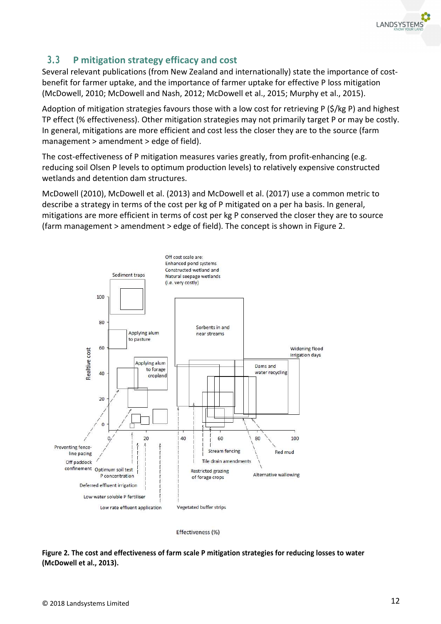

# **3.3 P mitigation strategy efficacy and cost**

Several relevant publications (from New Zealand and internationally) state the importance of costbenefit for farmer uptake, and the importance of farmer uptake for effective P loss mitigation (McDowell, 2010; McDowell and Nash, 2012; McDowell et al., 2015; Murphy et al., 2015).

Adoption of mitigation strategies favours those with a low cost for retrieving P (\$/kg P) and highest TP effect (% effectiveness). Other mitigation strategies may not primarily target P or may be costly. In general, mitigations are more efficient and cost less the closer they are to the source (farm management > amendment > edge of field).

The cost-effectiveness of P mitigation measures varies greatly, from profit-enhancing (e.g. reducing soil Olsen P levels to optimum production levels) to relatively expensive constructed wetlands and detention dam structures.

McDowell (2010), McDowell et al. (2013) and McDowell et al. (2017) use a common metric to describe a strategy in terms of the cost per kg of P mitigated on a per ha basis. In general, mitigations are more efficient in terms of cost per kg P conserved the closer they are to source (farm management > amendment > edge of field). The concept is shown in Figure 2.



Effectiveness (%)

**Figure 2. The cost and effectiveness of farm scale P mitigation strategies for reducing losses to water (McDowell et al., 2013).**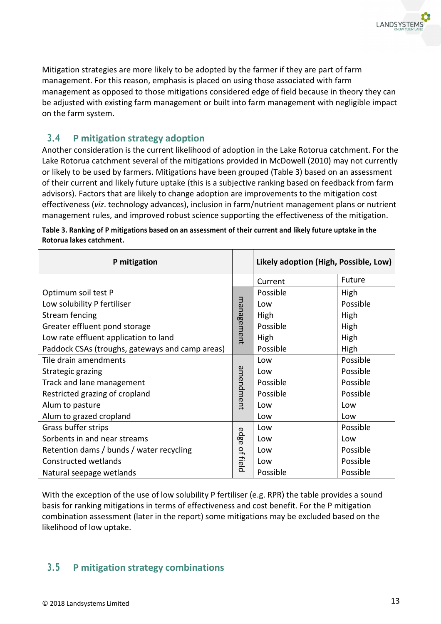

Mitigation strategies are more likely to be adopted by the farmer if they are part of farm management. For this reason, emphasis is placed on using those associated with farm management as opposed to those mitigations considered edge of field because in theory they can be adjusted with existing farm management or built into farm management with negligible impact on the farm system.

## **3.4 P mitigation strategy adoption**

Another consideration is the current likelihood of adoption in the Lake Rotorua catchment. For the Lake Rotorua catchment several of the mitigations provided in McDowell (2010) may not currently or likely to be used by farmers. Mitigations have been grouped (Table 3) based on an assessment of their current and likely future uptake (this is a subjective ranking based on feedback from farm advisors). Factors that are likely to change adoption are improvements to the mitigation cost effectiveness (*viz*. technology advances), inclusion in farm/nutrient management plans or nutrient management rules, and improved robust science supporting the effectiveness of the mitigation.

| P mitigation                                                                     |            | Likely adoption (High, Possible, Low) |          |
|----------------------------------------------------------------------------------|------------|---------------------------------------|----------|
|                                                                                  |            | Current                               | Future   |
| Optimum soil test P                                                              |            | Possible                              | High     |
| Low solubility P fertiliser                                                      |            | Low                                   | Possible |
| Stream fencing                                                                   |            | High                                  | High     |
| Greater effluent pond storage                                                    | management | Possible                              | High     |
| Low rate effluent application to land                                            |            | High                                  | High     |
| Paddock CSAs (troughs, gateways and camp areas)                                  |            | Possible                              | High     |
| Tile drain amendments                                                            |            | Low                                   | Possible |
| Strategic grazing<br>Track and lane management<br>Restricted grazing of cropland |            | Low                                   | Possible |
|                                                                                  |            | Possible                              | Possible |
|                                                                                  |            | Possible                              | Possible |
| Alum to pasture                                                                  | amendment  | Low                                   | Low      |
| Alum to grazed cropland                                                          |            | Low                                   | Low      |
| Grass buffer strips                                                              | edge       | Low                                   | Possible |
| Sorbents in and near streams                                                     |            | Low                                   | Low      |
| Retention dams / bunds / water recycling                                         |            | Low                                   | Possible |
| Constructed wetlands                                                             | of field   | Low                                   | Possible |
| Natural seepage wetlands                                                         |            | Possible                              | Possible |

**Table 3. Ranking of P mitigations based on an assessment of their current and likely future uptake in the Rotorua lakes catchment.** 

With the exception of the use of low solubility P fertiliser (e.g. RPR) the table provides a sound basis for ranking mitigations in terms of effectiveness and cost benefit. For the P mitigation combination assessment (later in the report) some mitigations may be excluded based on the likelihood of low uptake.

# **3.5 P mitigation strategy combinations**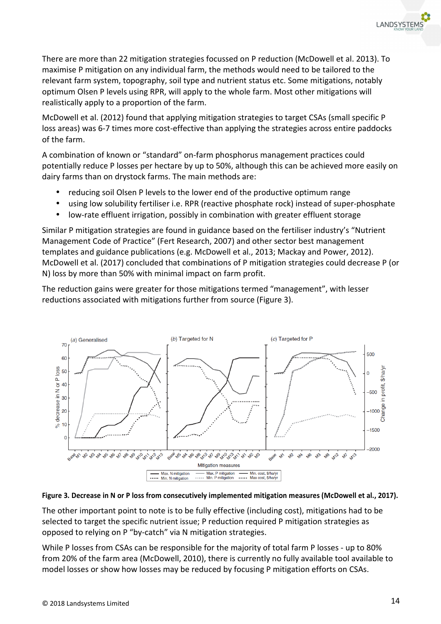There are more than 22 mitigation strategies focussed on P reduction (McDowell et al. 2013). To maximise P mitigation on any individual farm, the methods would need to be tailored to the relevant farm system, topography, soil type and nutrient status etc. Some mitigations, notably optimum Olsen P levels using RPR, will apply to the whole farm. Most other mitigations will realistically apply to a proportion of the farm.

McDowell et al. (2012) found that applying mitigation strategies to target CSAs (small specific P loss areas) was 6-7 times more cost-effective than applying the strategies across entire paddocks of the farm.

A combination of known or "standard" on-farm phosphorus management practices could potentially reduce P losses per hectare by up to 50%, although this can be achieved more easily on dairy farms than on drystock farms. The main methods are:

- reducing soil Olsen P levels to the lower end of the productive optimum range
- using low solubility fertiliser i.e. RPR (reactive phosphate rock) instead of super-phosphate
- low-rate effluent irrigation, possibly in combination with greater effluent storage

Similar P mitigation strategies are found in guidance based on the fertiliser industry's "Nutrient Management Code of Practice" (Fert Research, 2007) and other sector best management templates and guidance publications (e.g. McDowell et al., 2013; Mackay and Power, 2012). McDowell et al. (2017) concluded that combinations of P mitigation strategies could decrease P (or N) loss by more than 50% with minimal impact on farm profit.

The reduction gains were greater for those mitigations termed "management", with lesser reductions associated with mitigations further from source (Figure 3).





The other important point to note is to be fully effective (including cost), mitigations had to be selected to target the specific nutrient issue; P reduction required P mitigation strategies as opposed to relying on P "by-catch" via N mitigation strategies.

While P losses from CSAs can be responsible for the majority of total farm P losses - up to 80% from 20% of the farm area (McDowell, 2010), there is currently no fully available tool available to model losses or show how losses may be reduced by focusing P mitigation efforts on CSAs.

**LANDSYSTEI**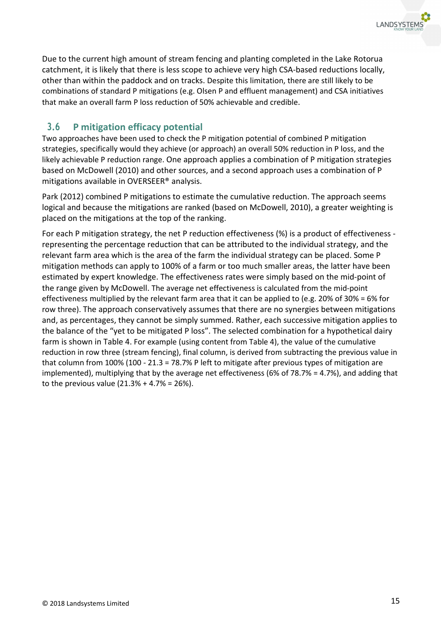

Due to the current high amount of stream fencing and planting completed in the Lake Rotorua catchment, it is likely that there is less scope to achieve very high CSA-based reductions locally, other than within the paddock and on tracks. Despite this limitation, there are still likely to be combinations of standard P mitigations (e.g. Olsen P and effluent management) and CSA initiatives that make an overall farm P loss reduction of 50% achievable and credible.

## **3.6 P mitigation efficacy potential**

Two approaches have been used to check the P mitigation potential of combined P mitigation strategies, specifically would they achieve (or approach) an overall 50% reduction in P loss, and the likely achievable P reduction range. One approach applies a combination of P mitigation strategies based on McDowell (2010) and other sources, and a second approach uses a combination of P mitigations available in OVERSEER® analysis.

Park (2012) combined P mitigations to estimate the cumulative reduction. The approach seems logical and because the mitigations are ranked (based on McDowell, 2010), a greater weighting is placed on the mitigations at the top of the ranking.

For each P mitigation strategy, the net P reduction effectiveness (%) is a product of effectiveness representing the percentage reduction that can be attributed to the individual strategy, and the relevant farm area which is the area of the farm the individual strategy can be placed. Some P mitigation methods can apply to 100% of a farm or too much smaller areas, the latter have been estimated by expert knowledge. The effectiveness rates were simply based on the mid-point of the range given by McDowell. The average net effectiveness is calculated from the mid-point effectiveness multiplied by the relevant farm area that it can be applied to (e.g. 20% of 30% = 6% for row three). The approach conservatively assumes that there are no synergies between mitigations and, as percentages, they cannot be simply summed. Rather, each successive mitigation applies to the balance of the "yet to be mitigated P loss". The selected combination for a hypothetical dairy farm is shown in Table 4. For example (using content from Table 4), the value of the cumulative reduction in row three (stream fencing), final column, is derived from subtracting the previous value in that column from 100% (100 - 21.3 = 78.7% P left to mitigate after previous types of mitigation are implemented), multiplying that by the average net effectiveness (6% of 78.7% = 4.7%), and adding that to the previous value  $(21.3% + 4.7% = 26%).$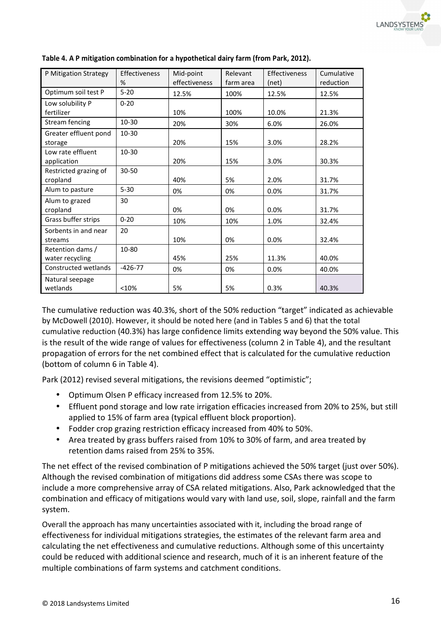| P Mitigation Strategy | <b>Effectiveness</b> | Mid-point     | Relevant  | Effectiveness | Cumulative |
|-----------------------|----------------------|---------------|-----------|---------------|------------|
|                       | %                    | effectiveness | farm area | (net)         | reduction  |
| Optimum soil test P   | $5 - 20$             | 12.5%         | 100%      | 12.5%         | 12.5%      |
| Low solubility P      | $0 - 20$             |               |           |               |            |
| fertilizer            |                      | 10%           | 100%      | 10.0%         | 21.3%      |
| Stream fencing        | $10 - 30$            | 20%           | 30%       | 6.0%          | 26.0%      |
| Greater effluent pond | 10-30                |               |           |               |            |
| storage               |                      | 20%           | 15%       | 3.0%          | 28.2%      |
| Low rate effluent     | $10 - 30$            |               |           |               |            |
| application           |                      | 20%           | 15%       | 3.0%          | 30.3%      |
| Restricted grazing of | $30 - 50$            |               |           |               |            |
| cropland              |                      | 40%           | 5%        | 2.0%          | 31.7%      |
| Alum to pasture       | $5 - 30$             | 0%            | 0%        | 0.0%          | 31.7%      |
| Alum to grazed        | 30                   |               |           |               |            |
| cropland              |                      | 0%            | 0%        | 0.0%          | 31.7%      |
| Grass buffer strips   | $0 - 20$             | 10%           | 10%       | 1.0%          | 32.4%      |
| Sorbents in and near  | 20                   |               |           |               |            |
| streams               |                      | 10%           | 0%        | 0.0%          | 32.4%      |
| Retention dams /      | 10-80                |               |           |               |            |
| water recycling       |                      | 45%           | 25%       | 11.3%         | 40.0%      |
| Constructed wetlands  | $-426-77$            | 0%            | 0%        | 0.0%          | 40.0%      |
| Natural seepage       |                      |               |           |               |            |
| wetlands              | <10%                 | 5%            | 5%        | 0.3%          | 40.3%      |

## **Table 4. A P mitigation combination for a hypothetical dairy farm (from Park, 2012).**

The cumulative reduction was 40.3%, short of the 50% reduction "target" indicated as achievable by McDowell (2010). However, it should be noted here (and in Tables 5 and 6) that the total cumulative reduction (40.3%) has large confidence limits extending way beyond the 50% value. This is the result of the wide range of values for effectiveness (column 2 in Table 4), and the resultant propagation of errors for the net combined effect that is calculated for the cumulative reduction (bottom of column 6 in Table 4).

Park (2012) revised several mitigations, the revisions deemed "optimistic";

- Optimum Olsen P efficacy increased from 12.5% to 20%.
- Effluent pond storage and low rate irrigation efficacies increased from 20% to 25%, but still applied to 15% of farm area (typical effluent block proportion).
- Fodder crop grazing restriction efficacy increased from 40% to 50%.
- Area treated by grass buffers raised from 10% to 30% of farm, and area treated by retention dams raised from 25% to 35%.

The net effect of the revised combination of P mitigations achieved the 50% target (just over 50%). Although the revised combination of mitigations did address some CSAs there was scope to include a more comprehensive array of CSA related mitigations. Also, Park acknowledged that the combination and efficacy of mitigations would vary with land use, soil, slope, rainfall and the farm system.

Overall the approach has many uncertainties associated with it, including the broad range of effectiveness for individual mitigations strategies, the estimates of the relevant farm area and calculating the net effectiveness and cumulative reductions. Although some of this uncertainty could be reduced with additional science and research, much of it is an inherent feature of the multiple combinations of farm systems and catchment conditions.

LANDSYSTE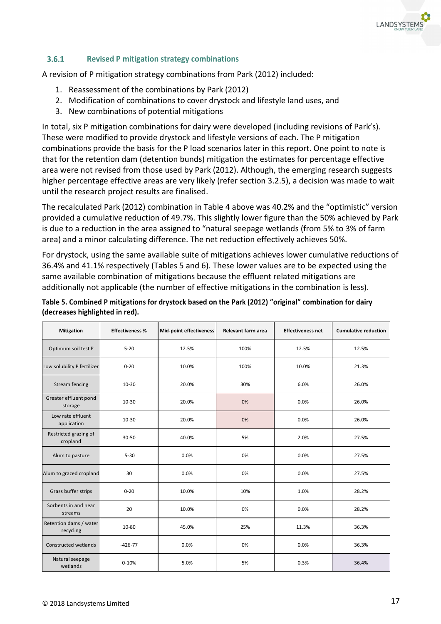

#### $3.6.1$ **Revised P mitigation strategy combinations**

A revision of P mitigation strategy combinations from Park (2012) included:

- 1. Reassessment of the combinations by Park (2012)
- 2. Modification of combinations to cover drystock and lifestyle land uses, and
- 3. New combinations of potential mitigations

In total, six P mitigation combinations for dairy were developed (including revisions of Park's). These were modified to provide drystock and lifestyle versions of each. The P mitigation combinations provide the basis for the P load scenarios later in this report. One point to note is that for the retention dam (detention bunds) mitigation the estimates for percentage effective area were not revised from those used by Park (2012). Although, the emerging research suggests higher percentage effective areas are very likely (refer section 3.2.5), a decision was made to wait until the research project results are finalised.

The recalculated Park (2012) combination in Table 4 above was 40.2% and the "optimistic" version provided a cumulative reduction of 49.7%. This slightly lower figure than the 50% achieved by Park is due to a reduction in the area assigned to "natural seepage wetlands (from 5% to 3% of farm area) and a minor calculating difference. The net reduction effectively achieves 50%.

For drystock, using the same available suite of mitigations achieves lower cumulative reductions of 36.4% and 41.1% respectively (Tables 5 and 6). These lower values are to be expected using the same available combination of mitigations because the effluent related mitigations are additionally not applicable (the number of effective mitigations in the combination is less).

| Table 5. Combined P mitigations for drystock based on the Park (2012) "original" combination for dairy |  |
|--------------------------------------------------------------------------------------------------------|--|
| (decreases highlighted in red).                                                                        |  |

| <b>Mitigation</b>                   | <b>Effectiveness %</b> | <b>Mid-point effectiveness</b> | Relevant farm area | <b>Effectiveness net</b> | <b>Cumulative reduction</b> |
|-------------------------------------|------------------------|--------------------------------|--------------------|--------------------------|-----------------------------|
| Optimum soil test P                 | $5 - 20$               | 12.5%                          | 100%               | 12.5%                    | 12.5%                       |
| Low solubility P fertilizer         | $0 - 20$               | 10.0%                          | 100%               | 10.0%                    | 21.3%                       |
| <b>Stream fencing</b>               | 10-30                  | 20.0%                          | 30%                | 6.0%                     | 26.0%                       |
| Greater effluent pond<br>storage    | $10 - 30$              | 20.0%                          | 0%                 | 0.0%                     | 26.0%                       |
| Low rate effluent<br>application    | $10 - 30$              | 20.0%                          | 0%                 | 0.0%                     | 26.0%                       |
| Restricted grazing of<br>cropland   | 30-50                  | 40.0%                          | 5%                 | 2.0%                     | 27.5%                       |
| Alum to pasture                     | $5 - 30$               | 0.0%                           | 0%                 | 0.0%                     | 27.5%                       |
| Alum to grazed cropland             | 30                     | 0.0%                           | 0%                 | 0.0%                     | 27.5%                       |
| Grass buffer strips                 | $0 - 20$               | 10.0%                          | 10%                | 1.0%                     | 28.2%                       |
| Sorbents in and near<br>streams     | 20                     | 10.0%                          | 0%                 | 0.0%                     | 28.2%                       |
| Retention dams / water<br>recycling | 10-80                  | 45.0%                          | 25%                | 11.3%                    | 36.3%                       |
| Constructed wetlands                | $-426-77$              | 0.0%                           | 0%                 | 0.0%                     | 36.3%                       |
| Natural seepage<br>wetlands         | $0 - 10%$              | 5.0%                           | 5%                 | 0.3%                     | 36.4%                       |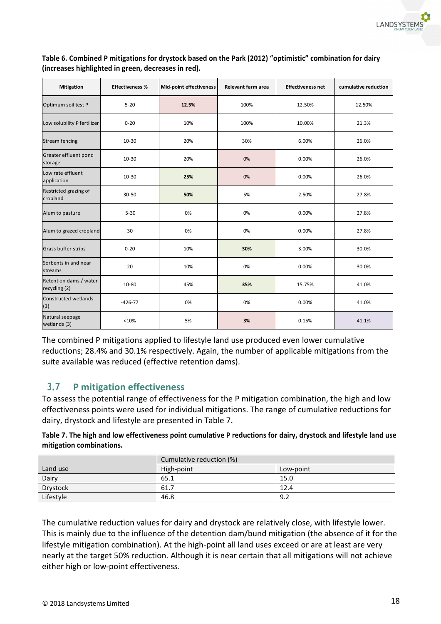

| <b>Mitigation</b>                       | <b>Effectiveness %</b> | Mid-point effectiveness | <b>Relevant farm area</b> | <b>Effectiveness net</b> | cumulative reduction |
|-----------------------------------------|------------------------|-------------------------|---------------------------|--------------------------|----------------------|
| Optimum soil test P                     | $5 - 20$               | 12.5%                   | 100%                      | 12.50%                   | 12.50%               |
| Low solubility P fertilizer             | $0 - 20$               | 10%                     | 100%                      | 10.00%                   | 21.3%                |
| <b>Stream fencing</b>                   | $10 - 30$              | 20%                     | 30%                       | 6.00%                    | 26.0%                |
| Greater effluent pond<br>storage        | $10-30$                | 20%                     | 0%                        | 0.00%                    | 26.0%                |
| Low rate effluent<br>application        | $10 - 30$              | 25%                     | 0%                        | 0.00%                    | 26.0%                |
| Restricted grazing of<br>cropland       | 30-50                  | 50%                     | 5%                        | 2.50%                    | 27.8%                |
| Alum to pasture                         | $5 - 30$               | 0%                      | 0%                        | 0.00%                    | 27.8%                |
| Alum to grazed cropland                 | 30                     | 0%                      | 0%                        | 0.00%                    | 27.8%                |
| Grass buffer strips                     | $0 - 20$               | 10%                     | 30%                       | 3.00%                    | 30.0%                |
| Sorbents in and near<br>streams         | 20                     | 10%                     | 0%                        | 0.00%                    | 30.0%                |
| Retention dams / water<br>recycling (2) | 10-80                  | 45%                     | 35%                       | 15.75%                   | 41.0%                |
| Constructed wetlands<br>$(3)$           | $-426-77$              | 0%                      | 0%                        | 0.00%                    | 41.0%                |
| Natural seepage<br>wetlands (3)         | <10%                   | 5%                      | 3%                        | 0.15%                    | 41.1%                |

**Table 6. Combined P mitigations for drystock based on the Park (2012) "optimistic" combination for dairy (increases highlighted in green, decreases in red).**

The combined P mitigations applied to lifestyle land use produced even lower cumulative reductions; 28.4% and 30.1% respectively. Again, the number of applicable mitigations from the suite available was reduced (effective retention dams).

## **3.7 P mitigation effectiveness**

To assess the potential range of effectiveness for the P mitigation combination, the high and low effectiveness points were used for individual mitigations. The range of cumulative reductions for dairy, drystock and lifestyle are presented in Table 7.

**Table 7. The high and low effectiveness point cumulative P reductions for dairy, drystock and lifestyle land use mitigation combinations.** 

|           | Cumulative reduction (%) |           |
|-----------|--------------------------|-----------|
| Land use  | High-point               | Low-point |
| Dairy     | 65.1                     | 15.0      |
| Drystock  | 61.7                     | 12.4      |
| Lifestyle | 46.8                     | 9.2       |

The cumulative reduction values for dairy and drystock are relatively close, with lifestyle lower. This is mainly due to the influence of the detention dam/bund mitigation (the absence of it for the lifestyle mitigation combination). At the high-point all land uses exceed or are at least are very nearly at the target 50% reduction. Although it is near certain that all mitigations will not achieve either high or low-point effectiveness.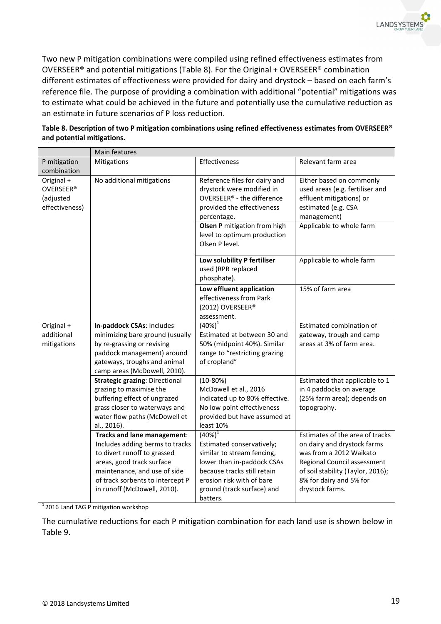Two new P mitigation combinations were compiled using refined effectiveness estimates from OVERSEER® and potential mitigations (Table 8). For the Original + OVERSEER® combination different estimates of effectiveness were provided for dairy and drystock – based on each farm's reference file. The purpose of providing a combination with additional "potential" mitigations was to estimate what could be achieved in the future and potentially use the cumulative reduction as an estimate in future scenarios of P loss reduction.

|                  | Main features                         |                                |                                   |
|------------------|---------------------------------------|--------------------------------|-----------------------------------|
| P mitigation     | Mitigations                           | Effectiveness                  | Relevant farm area                |
| combination      |                                       |                                |                                   |
| Original +       | No additional mitigations             | Reference files for dairy and  | Either based on commonly          |
| <b>OVERSEER®</b> |                                       | drystock were modified in      | used areas (e.g. fertiliser and   |
| (adjusted        |                                       | OVERSEER® - the difference     | effluent mitigations) or          |
| effectiveness)   |                                       | provided the effectiveness     | estimated (e.g. CSA               |
|                  |                                       | percentage.                    | management)                       |
|                  |                                       | Olsen P mitigation from high   | Applicable to whole farm          |
|                  |                                       | level to optimum production    |                                   |
|                  |                                       | Olsen P level.                 |                                   |
|                  |                                       |                                |                                   |
|                  |                                       | Low solubility P fertiliser    | Applicable to whole farm          |
|                  |                                       | used (RPR replaced             |                                   |
|                  |                                       | phosphate).                    |                                   |
|                  |                                       | Low effluent application       | 15% of farm area                  |
|                  |                                       | effectiveness from Park        |                                   |
|                  |                                       | (2012) OVERSEER®               |                                   |
|                  |                                       | assessment.                    |                                   |
| Original +       | In-paddock CSAs: Includes             | $(40\%)^T$                     | Estimated combination of          |
| additional       | minimizing bare ground (usually       | Estimated at between 30 and    | gateway, trough and camp          |
| mitigations      | by re-grassing or revising            | 50% (midpoint 40%). Similar    | areas at 3% of farm area.         |
|                  | paddock management) around            | range to "restricting grazing  |                                   |
|                  | gateways, troughs and animal          | of cropland"                   |                                   |
|                  | camp areas (McDowell, 2010).          |                                |                                   |
|                  | <b>Strategic grazing: Directional</b> | $(10-80%)$                     | Estimated that applicable to 1    |
|                  | grazing to maximise the               | McDowell et al., 2016          | in 4 paddocks on average          |
|                  | buffering effect of ungrazed          | indicated up to 80% effective. | (25% farm area); depends on       |
|                  | grass closer to waterways and         | No low point effectiveness     | topography.                       |
|                  | water flow paths (McDowell et         | provided but have assumed at   |                                   |
|                  | al., 2016).                           | least 10%                      |                                   |
|                  | Tracks and lane management:           | $(40\%)^{1}$                   | Estimates of the area of tracks   |
|                  | Includes adding berms to tracks       | Estimated conservatively;      | on dairy and drystock farms       |
|                  | to divert runoff to grassed           | similar to stream fencing,     | was from a 2012 Waikato           |
|                  | areas, good track surface             | lower than in-paddock CSAs     | Regional Council assessment       |
|                  | maintenance, and use of side          | because tracks still retain    | of soil stability (Taylor, 2016); |
|                  | of track sorbents to intercept P      | erosion risk with of bare      | 8% for dairy and 5% for           |
|                  | in runoff (McDowell, 2010).           | ground (track surface) and     | drystock farms.                   |
|                  |                                       | batters.                       |                                   |

**Table 8. Description of two P mitigation combinations using refined effectiveness estimates from OVERSEER® and potential mitigations.** 

 $12016$  Land TAG P mitigation workshop

The cumulative reductions for each P mitigation combination for each land use is shown below in Table 9.

**LANDSYSTE**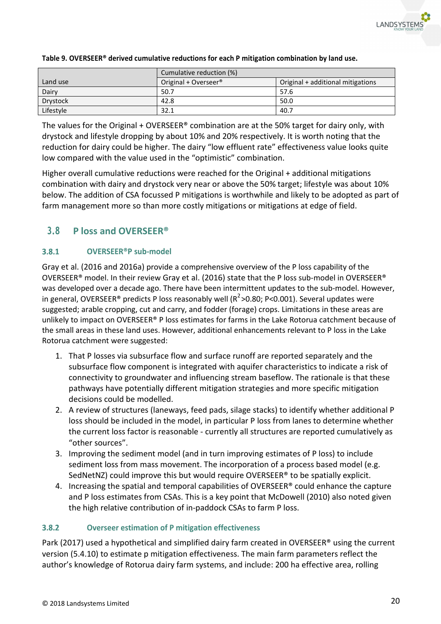

|                 | Cumulative reduction (%)         |                                   |
|-----------------|----------------------------------|-----------------------------------|
| Land use        | Original + Overseer <sup>®</sup> | Original + additional mitigations |
| Dairy           | 50.7                             | 57.6                              |
| <b>Drystock</b> | 42.8                             | 50.0                              |
| Lifestyle       | 32.1                             | 40.7                              |

## **Table 9. OVERSEER® derived cumulative reductions for each P mitigation combination by land use.**

The values for the Original + OVERSEER<sup>®</sup> combination are at the 50% target for dairy only, with drystock and lifestyle dropping by about 10% and 20% respectively. It is worth noting that the reduction for dairy could be higher. The dairy "low effluent rate" effectiveness value looks quite low compared with the value used in the "optimistic" combination.

Higher overall cumulative reductions were reached for the Original + additional mitigations combination with dairy and drystock very near or above the 50% target; lifestyle was about 10% below. The addition of CSA focussed P mitigations is worthwhile and likely to be adopted as part of farm management more so than more costly mitigations or mitigations at edge of field.

# **3.8 P loss and OVERSEER®**

### $3.8.1$ **OVERSEER®P sub-model**

Gray et al. (2016 and 2016a) provide a comprehensive overview of the P loss capability of the OVERSEER® model. In their review Gray et al. (2016) state that the P loss sub-model in OVERSEER® was developed over a decade ago. There have been intermittent updates to the sub-model. However, in general, OVERSEER® predicts P loss reasonably well (R<sup>2</sup>>0.80; P<0.001). Several updates were suggested; arable cropping, cut and carry, and fodder (forage) crops. Limitations in these areas are unlikely to impact on OVERSEER® P loss estimates for farms in the Lake Rotorua catchment because of the small areas in these land uses. However, additional enhancements relevant to P loss in the Lake Rotorua catchment were suggested:

- 1. That P losses via subsurface flow and surface runoff are reported separately and the subsurface flow component is integrated with aquifer characteristics to indicate a risk of connectivity to groundwater and influencing stream baseflow. The rationale is that these pathways have potentially different mitigation strategies and more specific mitigation decisions could be modelled.
- 2. A review of structures (laneways, feed pads, silage stacks) to identify whether additional P loss should be included in the model, in particular P loss from lanes to determine whether the current loss factor is reasonable - currently all structures are reported cumulatively as "other sources".
- 3. Improving the sediment model (and in turn improving estimates of P loss) to include sediment loss from mass movement. The incorporation of a process based model (e.g. SedNetNZ) could improve this but would require OVERSEER® to be spatially explicit.
- 4. Increasing the spatial and temporal capabilities of OVERSEER® could enhance the capture and P loss estimates from CSAs. This is a key point that McDowell (2010) also noted given the high relative contribution of in-paddock CSAs to farm P loss.

### $3.8.2$ **Overseer estimation of P mitigation effectiveness**

Park (2017) used a hypothetical and simplified dairy farm created in OVERSEER<sup>®</sup> using the current version (5.4.10) to estimate p mitigation effectiveness. The main farm parameters reflect the author's knowledge of Rotorua dairy farm systems, and include: 200 ha effective area, rolling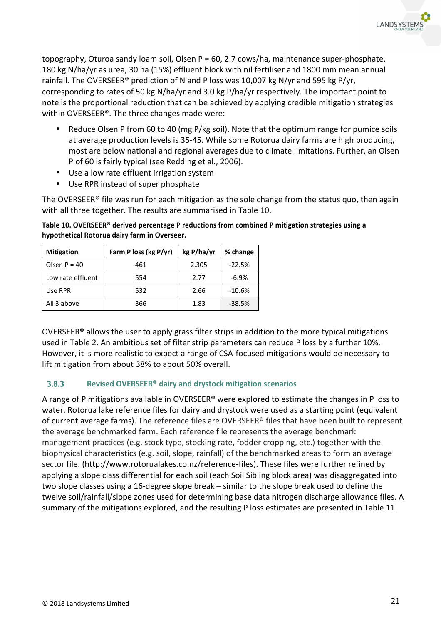

topography, Oturoa sandy loam soil, Olsen P = 60, 2.7 cows/ha, maintenance super-phosphate, 180 kg N/ha/yr as urea, 30 ha (15%) effluent block with nil fertiliser and 1800 mm mean annual rainfall. The OVERSEER® prediction of N and P loss was 10,007 kg N/yr and 595 kg P/yr, corresponding to rates of 50 kg N/ha/yr and 3.0 kg P/ha/yr respectively. The important point to note is the proportional reduction that can be achieved by applying credible mitigation strategies within OVERSEER®. The three changes made were:

- Reduce Olsen P from 60 to 40 (mg P/kg soil). Note that the optimum range for pumice soils at average production levels is 35-45. While some Rotorua dairy farms are high producing, most are below national and regional averages due to climate limitations. Further, an Olsen P of 60 is fairly typical (see Redding et al., 2006).
- Use a low rate effluent irrigation system
- Use RPR instead of super phosphate

The OVERSEER® file was run for each mitigation as the sole change from the status quo, then again with all three together. The results are summarised in Table 10.

| <b>Mitigation</b> | Farm P loss (kg P/yr) | kg P/ha/yr | % change |
|-------------------|-----------------------|------------|----------|
| Olsen $P = 40$    | 461                   | 2.305      | $-22.5%$ |
| Low rate effluent | 554                   | 2.77       | $-6.9\%$ |
| Use RPR           | 532                   | 2.66       | $-10.6%$ |
| All 3 above       | 366                   | 1.83       | $-38.5%$ |

**Table 10. OVERSEER® derived percentage P reductions from combined P mitigation strategies using a hypothetical Rotorua dairy farm in Overseer.** 

OVERSEER® allows the user to apply grass filter strips in addition to the more typical mitigations used in Table 2. An ambitious set of filter strip parameters can reduce P loss by a further 10%. However, it is more realistic to expect a range of CSA-focused mitigations would be necessary to lift mitigation from about 38% to about 50% overall.

### $3.8.3$ **Revised OVERSEER® dairy and drystock mitigation scenarios**

A range of P mitigations available in OVERSEER® were explored to estimate the changes in P loss to water. Rotorua lake reference files for dairy and drystock were used as a starting point (equivalent of current average farms). The reference files are OVERSEER® files that have been built to represent the average benchmarked farm. Each reference file represents the average benchmark management practices (e.g. stock type, stocking rate, fodder cropping, etc.) together with the biophysical characteristics (e.g. soil, slope, rainfall) of the benchmarked areas to form an average sector file. (http://www.rotorualakes.co.nz/reference-files). These files were further refined by applying a slope class differential for each soil (each Soil Sibling block area) was disaggregated into two slope classes using a 16-degree slope break – similar to the slope break used to define the twelve soil/rainfall/slope zones used for determining base data nitrogen discharge allowance files. A summary of the mitigations explored, and the resulting P loss estimates are presented in Table 11.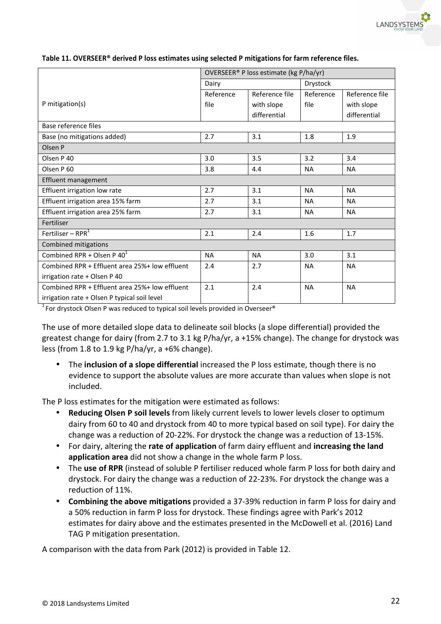

|                                                | OVERSEER® P loss estimate (kg P/ha/yr) |                |           |                |  |
|------------------------------------------------|----------------------------------------|----------------|-----------|----------------|--|
|                                                | Dairy                                  |                | Drystock  |                |  |
|                                                | Reference                              | Reference file | Reference | Reference file |  |
| P mitigation(s)                                | file                                   | with slope     | file      | with slope     |  |
|                                                |                                        | differential   |           | differential   |  |
| Base reference files                           |                                        |                |           |                |  |
| Base (no mitigations added)                    | 2.7                                    | 3.1            | 1.8       | 1.9            |  |
| Olsen P                                        |                                        |                |           |                |  |
| Olsen P 40                                     | 3.0                                    | 3.5            | 3.2       | 3.4            |  |
| Olsen P 60                                     | 3.8                                    | 4.4            | <b>NA</b> | <b>NA</b>      |  |
| <b>Effluent management</b>                     |                                        |                |           |                |  |
| Effluent irrigation low rate                   | 2.7                                    | 3.1            | <b>NA</b> | <b>NA</b>      |  |
| Effluent irrigation area 15% farm              | 2.7                                    | 3.1            | <b>NA</b> | <b>NA</b>      |  |
| Effluent irrigation area 25% farm              | 2.7                                    | 3.1            | <b>NA</b> | <b>NA</b>      |  |
| Fertiliser                                     |                                        |                |           |                |  |
| Fertiliser – RPR $1$                           | 2.1                                    | 2.4            | 1.6       | 1.7            |  |
| Combined mitigations                           |                                        |                |           |                |  |
| Combined RPR + Olsen P $40^1$                  | <b>NA</b>                              | <b>NA</b>      | 3.0       | 3.1            |  |
| Combined RPR + Effluent area 25%+ low effluent | 2.4                                    | 2.7            | <b>NA</b> | <b>NA</b>      |  |
| irrigation rate + Olsen P 40                   |                                        |                |           |                |  |
| Combined RPR + Effluent area 25%+ low effluent | 2.1                                    | 2.4            | <b>NA</b> | <b>NA</b>      |  |
| irrigation rate + Olsen P typical soil level   |                                        |                |           |                |  |

**Table 11. OVERSEER® derived P loss estimates using selected P mitigations for farm reference files.** 

 $1$  For drystock Olsen P was reduced to typical soil levels provided in Overseer®

The use of more detailed slope data to delineate soil blocks (a slope differential) provided the greatest change for dairy (from 2.7 to 3.1 kg P/ha/yr, a +15% change). The change for drystock was less (from 1.8 to 1.9 kg P/ha/yr, a +6% change).

• The **inclusion of a slope differential** increased the P loss estimate, though there is no evidence to support the absolute values are more accurate than values when slope is not included.

The P loss estimates for the mitigation were estimated as follows:

- **Reducing Olsen P soil levels** from likely current levels to lower levels closer to optimum dairy from 60 to 40 and drystock from 40 to more typical based on soil type). For dairy the change was a reduction of 20-22%. For drystock the change was a reduction of 13-15%.
- For dairy, altering the **rate of application** of farm dairy effluent and **increasing the land application area** did not show a change in the whole farm P loss.
- The **use of RPR** (instead of soluble P fertiliser reduced whole farm P loss for both dairy and drystock. For dairy the change was a reduction of 22-23%. For drystock the change was a reduction of 11%.
- **Combining the above mitigations** provided a 37-39% reduction in farm P loss for dairy and a 50% reduction in farm P loss for drystock. These findings agree with Park's 2012 estimates for dairy above and the estimates presented in the McDowell et al. (2016) Land TAG P mitigation presentation.

A comparison with the data from Park (2012) is provided in Table 12.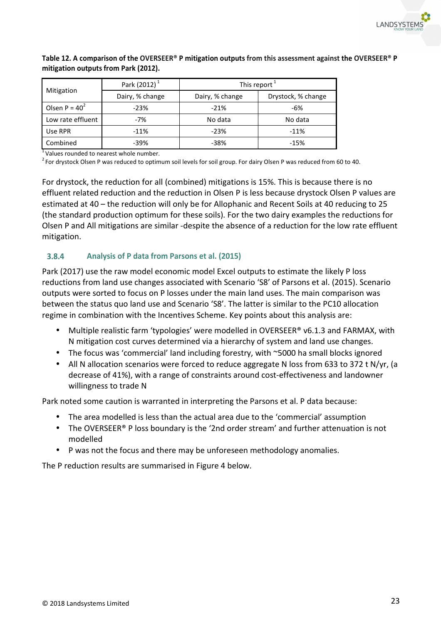

|                   | Park (2012) <sup>1</sup> | This report $1$ |                    |  |  |
|-------------------|--------------------------|-----------------|--------------------|--|--|
| Mitigation        | Dairy, % change          | Dairy, % change | Drystock, % change |  |  |
| Olsen P = $40^2$  | $-23%$                   | $-21%$          | -6%                |  |  |
| Low rate effluent | $-7%$                    | No data         | No data            |  |  |
| Use RPR           | $-11%$                   | $-23%$          | $-11%$             |  |  |
| Combined          | $-39%$                   | -38%            | $-15%$             |  |  |

## **Table 12. A comparison of the OVERSEER® P mitigation outputs from this assessment against the OVERSEER® P mitigation outputs from Park (2012).**

<sup>1</sup>Values rounded to nearest whole number.

 $2$  For drystock Olsen P was reduced to optimum soil levels for soil group. For dairy Olsen P was reduced from 60 to 40.

For drystock, the reduction for all (combined) mitigations is 15%. This is because there is no effluent related reduction and the reduction in Olsen P is less because drystock Olsen P values are estimated at 40 – the reduction will only be for Allophanic and Recent Soils at 40 reducing to 25 (the standard production optimum for these soils). For the two dairy examples the reductions for Olsen P and All mitigations are similar -despite the absence of a reduction for the low rate effluent mitigation.

#### $3.8.4$ **Analysis of P data from Parsons et al. (2015)**

Park (2017) use the raw model economic model Excel outputs to estimate the likely P loss reductions from land use changes associated with Scenario 'S8' of Parsons et al. (2015). Scenario outputs were sorted to focus on P losses under the main land uses. The main comparison was between the status quo land use and Scenario 'S8'. The latter is similar to the PC10 allocation regime in combination with the Incentives Scheme. Key points about this analysis are:

- Multiple realistic farm 'typologies' were modelled in OVERSEER® v6.1.3 and FARMAX, with N mitigation cost curves determined via a hierarchy of system and land use changes.
- The focus was 'commercial' land including forestry, with ~5000 ha small blocks ignored
- All N allocation scenarios were forced to reduce aggregate N loss from 633 to 372 t N/yr, (a decrease of 41%), with a range of constraints around cost-effectiveness and landowner willingness to trade N

Park noted some caution is warranted in interpreting the Parsons et al. P data because:

- The area modelled is less than the actual area due to the 'commercial' assumption
- The OVERSEER® P loss boundary is the '2nd order stream' and further attenuation is not modelled
- P was not the focus and there may be unforeseen methodology anomalies.

The P reduction results are summarised in Figure 4 below.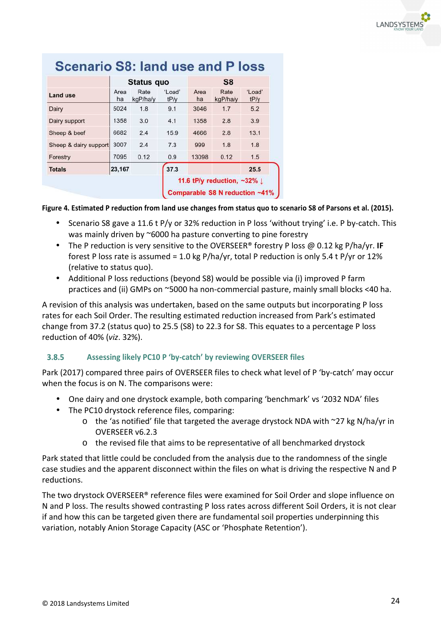

|                       |            | Status quo       |                | S8         |                                                                |                |  |
|-----------------------|------------|------------------|----------------|------------|----------------------------------------------------------------|----------------|--|
| Land use              | Area<br>ha | Rate<br>kgP/ha/y | 'Load'<br>tP/v | Area<br>ha | Rate<br>kgP/ha/y                                               | 'Load'<br>tP/y |  |
| Dairy                 | 5024       | 1.8              | 9.1            | 3046       | 1.7                                                            | 5.2            |  |
| Dairy support         | 1358       | 3.0              | 4.1            | 1358       | 2.8                                                            | 3.9            |  |
| Sheep & beef          | 6682       | 2.4              | 15.9           | 4666       | 2.8                                                            | 13.1           |  |
| Sheep & dairy support | 3007       | 2.4              | 7.3            | 999        | 1.8                                                            | 1.8            |  |
| Forestry              | 7095       | 0.12             | 0.9            | 13098      | 0.12                                                           | 1.5            |  |
| <b>Totals</b>         | 23,167     |                  | 37.3           |            |                                                                | 25.5           |  |
|                       |            |                  |                |            | 11.6 tP/y reduction, $-32\%$<br>Comparable S8 N reduction ~41% |                |  |

# Sconario S8: Jand use and D loss

## **Figure 4. Estimated P reduction from land use changes from status quo to scenario S8 of Parsons et al. (2015).**

- Scenario S8 gave a 11.6 t P/y or 32% reduction in P loss 'without trying' i.e. P by-catch. This was mainly driven by ~6000 ha pasture converting to pine forestry
- The P reduction is very sensitive to the OVERSEER® forestry P loss @ 0.12 kg P/ha/yr. **IF** forest P loss rate is assumed = 1.0 kg P/ha/yr, total P reduction is only 5.4 t P/yr or 12% (relative to status quo).
- Additional P loss reductions (beyond S8) would be possible via (i) improved P farm practices and (ii) GMPs on ~5000 ha non-commercial pasture, mainly small blocks <40 ha.

A revision of this analysis was undertaken, based on the same outputs but incorporating P loss rates for each Soil Order. The resulting estimated reduction increased from Park's estimated change from 37.2 (status quo) to 25.5 (S8) to 22.3 for S8. This equates to a percentage P loss reduction of 40% (*viz*. 32%).

### $3.8.5$ **Assessing likely PC10 P 'by-catch' by reviewing OVERSEER files**

Park (2017) compared three pairs of OVERSEER files to check what level of P 'by-catch' may occur when the focus is on N. The comparisons were:

- One dairy and one drystock example, both comparing 'benchmark' vs '2032 NDA' files
- The PC10 drystock reference files, comparing:
	- o the 'as notified' file that targeted the average drystock NDA with ~27 kg N/ha/yr in OVERSEER v6.2.3
	- o the revised file that aims to be representative of all benchmarked drystock

Park stated that little could be concluded from the analysis due to the randomness of the single case studies and the apparent disconnect within the files on what is driving the respective N and P reductions.

The two drystock OVERSEER® reference files were examined for Soil Order and slope influence on N and P loss. The results showed contrasting P loss rates across different Soil Orders, it is not clear if and how this can be targeted given there are fundamental soil properties underpinning this variation, notably Anion Storage Capacity (ASC or 'Phosphate Retention').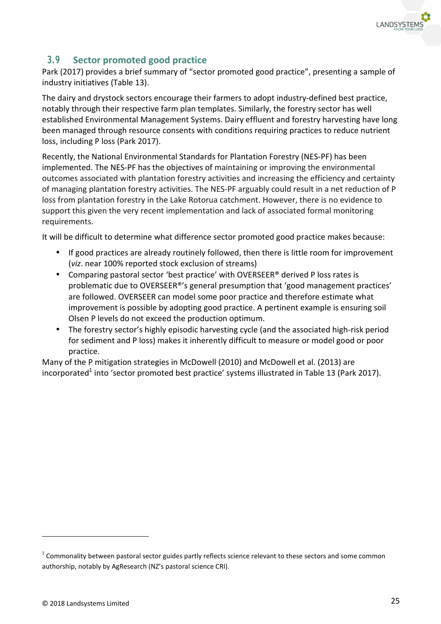

# **3.9 Sector promoted good practice**

Park (2017) provides a brief summary of "sector promoted good practice", presenting a sample of industry initiatives (Table 13).

The dairy and drystock sectors encourage their farmers to adopt industry-defined best practice, notably through their respective farm plan templates. Similarly, the forestry sector has well established Environmental Management Systems. Dairy effluent and forestry harvesting have long been managed through resource consents with conditions requiring practices to reduce nutrient loss, including P loss (Park 2017).

Recently, the National Environmental Standards for Plantation Forestry (NES-PF) has been implemented. The NES-PF has the objectives of maintaining or improving the environmental outcomes associated with plantation forestry activities and increasing the efficiency and certainty of managing plantation forestry activities. The NES-PF arguably could result in a net reduction of P loss from plantation forestry in the Lake Rotorua catchment. However, there is no evidence to support this given the very recent implementation and lack of associated formal monitoring requirements.

It will be difficult to determine what difference sector promoted good practice makes because:

- If good practices are already routinely followed, then there is little room for improvement (*viz*. near 100% reported stock exclusion of streams)
- Comparing pastoral sector 'best practice' with OVERSEER® derived P loss rates is problematic due to OVERSEER®'s general presumption that 'good management practices' are followed. OVERSEER can model some poor practice and therefore estimate what improvement is possible by adopting good practice. A pertinent example is ensuring soil Olsen P levels do not exceed the production optimum.
- The forestry sector's highly episodic harvesting cycle (and the associated high-risk period for sediment and P loss) makes it inherently difficult to measure or model good or poor practice.

Many of the P mitigation strategies in McDowell (2010) and McDowell et al. (2013) are incorporated<sup>1</sup> into 'sector promoted best practice' systems illustrated in Table 13 (Park 2017).

j

 $1$  Commonality between pastoral sector guides partly reflects science relevant to these sectors and some common authorship, notably by AgResearch (NZ's pastoral science CRI).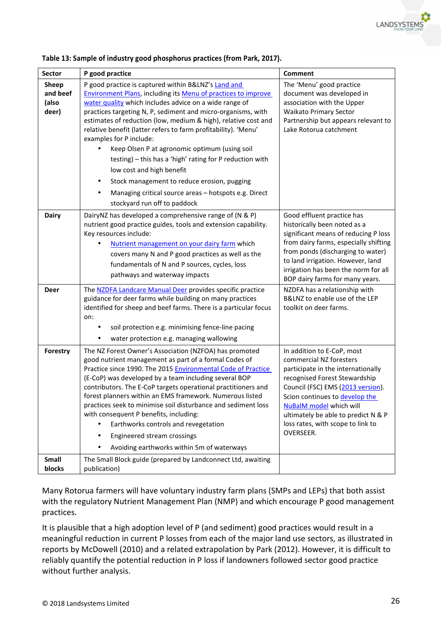

| <b>Sector</b>                       | P good practice                                                                                                                                                                                                                                                                                                                                                                                                                                                                                                                                                                                                                                                                                        | <b>Comment</b>                                                                                                                                                                                                                                                                                                                                                                                |
|-------------------------------------|--------------------------------------------------------------------------------------------------------------------------------------------------------------------------------------------------------------------------------------------------------------------------------------------------------------------------------------------------------------------------------------------------------------------------------------------------------------------------------------------------------------------------------------------------------------------------------------------------------------------------------------------------------------------------------------------------------|-----------------------------------------------------------------------------------------------------------------------------------------------------------------------------------------------------------------------------------------------------------------------------------------------------------------------------------------------------------------------------------------------|
| Sheep<br>and beef<br>(also<br>deer) | P good practice is captured within B&LNZ's Land and<br><b>Environment Plans, including its Menu of practices to improve</b><br>water quality which includes advice on a wide range of<br>practices targeting N, P, sediment and micro-organisms, with<br>estimates of reduction (low, medium & high), relative cost and<br>relative benefit (latter refers to farm profitability). 'Menu'<br>examples for P include:<br>Keep Olsen P at agronomic optimum (using soil<br>testing) - this has a 'high' rating for P reduction with<br>low cost and high benefit<br>Stock management to reduce erosion, pugging<br>Managing critical source areas - hotspots e.g. Direct<br>stockyard run off to paddock | The 'Menu' good practice<br>document was developed in<br>association with the Upper<br><b>Waikato Primary Sector</b><br>Partnership but appears relevant to<br>Lake Rotorua catchment                                                                                                                                                                                                         |
| <b>Dairy</b><br><b>Deer</b>         | DairyNZ has developed a comprehensive range of (N & P)<br>nutrient good practice guides, tools and extension capability.<br>Key resources include:<br>Nutrient management on your dairy farm which<br>covers many N and P good practices as well as the<br>fundamentals of N and P sources, cycles, loss<br>pathways and waterway impacts<br>The NZDFA Landcare Manual Deer provides specific practice<br>guidance for deer farms while building on many practices<br>identified for sheep and beef farms. There is a particular focus<br>on:<br>soil protection e.g. minimising fence-line pacing<br>water protection e.g. managing wallowing                                                         | Good effluent practice has<br>historically been noted as a<br>significant means of reducing P loss<br>from dairy farms, especially shifting<br>from ponds (discharging to water)<br>to land irrigation. However, land<br>irrigation has been the norm for all<br>BOP dairy farms for many years.<br>NZDFA has a relationship with<br>B&LNZ to enable use of the LEP<br>toolkit on deer farms. |
| Forestry<br>Small                   | The NZ Forest Owner's Association (NZFOA) has promoted<br>good nutrient management as part of a formal Codes of<br>Practice since 1990. The 2015 Environmental Code of Practice<br>(E-CoP) was developed by a team including several BOP<br>contributors. The E-CoP targets operational practitioners and<br>forest planners within an EMS framework. Numerous listed<br>practices seek to minimise soil disturbance and sediment loss<br>with consequent P benefits, including:<br>Earthworks controls and revegetation<br>Engineered stream crossings<br>$\bullet$<br>Avoiding earthworks within 5m of waterways<br>The Small Block guide (prepared by Landconnect Ltd, awaiting                     | In addition to E-CoP, most<br>commercial NZ foresters<br>participate in the internationally<br>recognised Forest Stewardship<br>Council (FSC) EMS (2013 version).<br>Scion continues to develop the<br><b>NuBalM</b> model which will<br>ultimately be able to predict N & P<br>loss rates, with scope to link to<br>OVERSEER.                                                                |
| blocks                              | publication)                                                                                                                                                                                                                                                                                                                                                                                                                                                                                                                                                                                                                                                                                           |                                                                                                                                                                                                                                                                                                                                                                                               |

| Table 13: Sample of industry good phosphorus practices (from Park, 2017). |  |  |  |
|---------------------------------------------------------------------------|--|--|--|
|                                                                           |  |  |  |

Many Rotorua farmers will have voluntary industry farm plans (SMPs and LEPs) that both assist with the regulatory Nutrient Management Plan (NMP) and which encourage P good management practices.

It is plausible that a high adoption level of P (and sediment) good practices would result in a meaningful reduction in current P losses from each of the major land use sectors, as illustrated in reports by McDowell (2010) and a related extrapolation by Park (2012). However, it is difficult to reliably quantify the potential reduction in P loss if landowners followed sector good practice without further analysis.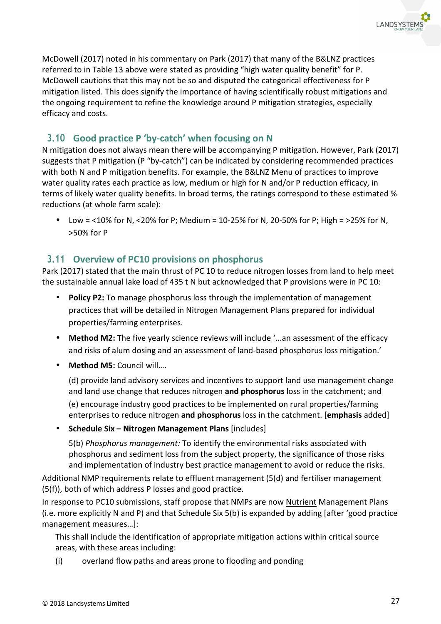McDowell (2017) noted in his commentary on Park (2017) that many of the B&LNZ practices referred to in Table 13 above were stated as providing "high water quality benefit" for P. McDowell cautions that this may not be so and disputed the categorical effectiveness for P mitigation listed. This does signify the importance of having scientifically robust mitigations and the ongoing requirement to refine the knowledge around P mitigation strategies, especially efficacy and costs.

# **3.10 Good practice P 'by-catch' when focusing on N**

N mitigation does not always mean there will be accompanying P mitigation. However, Park (2017) suggests that P mitigation (P "by-catch") can be indicated by considering recommended practices with both N and P mitigation benefits. For example, the B&LNZ Menu of practices to improve water quality rates each practice as low, medium or high for N and/or P reduction efficacy, in terms of likely water quality benefits. In broad terms, the ratings correspond to these estimated % reductions (at whole farm scale):

• Low = <10% for N, <20% for P; Medium = 10-25% for N, 20-50% for P; High = >25% for N, >50% for P

# **3.11 Overview of PC10 provisions on phosphorus**

Park (2017) stated that the main thrust of PC 10 to reduce nitrogen losses from land to help meet the sustainable annual lake load of 435 t N but acknowledged that P provisions were in PC 10:

- **Policy P2:** To manage phosphorus loss through the implementation of management practices that will be detailed in Nitrogen Management Plans prepared for individual properties/farming enterprises.
- **Method M2:** The five yearly science reviews will include '...an assessment of the efficacy and risks of alum dosing and an assessment of land-based phosphorus loss mitigation.'
- **Method M5:** Council will….

(d) provide land advisory services and incentives to support land use management change and land use change that reduces nitrogen **and phosphorus** loss in the catchment; and

(e) encourage industry good practices to be implemented on rural properties/farming enterprises to reduce nitrogen **and phosphorus** loss in the catchment. [**emphasis** added]

• **Schedule Six – Nitrogen Management Plans** [includes]

5(b) *Phosphorus management:* To identify the environmental risks associated with phosphorus and sediment loss from the subject property, the significance of those risks and implementation of industry best practice management to avoid or reduce the risks.

Additional NMP requirements relate to effluent management (5(d) and fertiliser management (5(f)), both of which address P losses and good practice.

In response to PC10 submissions, staff propose that NMPs are now Nutrient Management Plans (i.e. more explicitly N and P) and that Schedule Six 5(b) is expanded by adding [after 'good practice management measures…]:

This shall include the identification of appropriate mitigation actions within critical source areas, with these areas including:

(i) overland flow paths and areas prone to flooding and ponding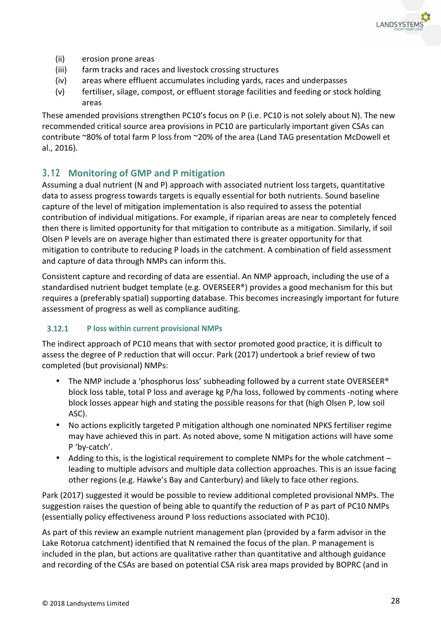

- (ii) erosion prone areas
- (iii) farm tracks and races and livestock crossing structures
- (iv) areas where effluent accumulates including yards, races and underpasses
- (v) fertiliser, silage, compost, or effluent storage facilities and feeding or stock holding areas

These amended provisions strengthen PC10's focus on P (i.e. PC10 is not solely about N). The new recommended critical source area provisions in PC10 are particularly important given CSAs can contribute ~80% of total farm P loss from ~20% of the area (Land TAG presentation McDowell et al., 2016).

# **3.12 Monitoring of GMP and P mitigation**

Assuming a dual nutrient (N and P) approach with associated nutrient loss targets, quantitative data to assess progress towards targets is equally essential for both nutrients. Sound baseline capture of the level of mitigation implementation is also required to assess the potential contribution of individual mitigations. For example, if riparian areas are near to completely fenced then there is limited opportunity for that mitigation to contribute as a mitigation. Similarly, if soil Olsen P levels are on average higher than estimated there is greater opportunity for that mitigation to contribute to reducing P loads in the catchment. A combination of field assessment and capture of data through NMPs can inform this.

Consistent capture and recording of data are essential. An NMP approach, including the use of a standardised nutrient budget template (e.g. OVERSEER®) provides a good mechanism for this but requires a (preferably spatial) supporting database. This becomes increasingly important for future assessment of progress as well as compliance auditing.

### $3.12.1$ **P loss within current provisional NMPs**

The indirect approach of PC10 means that with sector promoted good practice, it is difficult to assess the degree of P reduction that will occur. Park (2017) undertook a brief review of two completed (but provisional) NMPs:

- The NMP include a 'phosphorus loss' subheading followed by a current state OVERSEER<sup>®</sup> block loss table, total P loss and average kg P/ha loss, followed by comments -noting where block losses appear high and stating the possible reasons for that (high Olsen P, low soil ASC).
- No actions explicitly targeted P mitigation although one nominated NPKS fertiliser regime may have achieved this in part. As noted above, some N mitigation actions will have some P 'by-catch'.
- Adding to this, is the logistical requirement to complete NMPs for the whole catchment leading to multiple advisors and multiple data collection approaches. This is an issue facing other regions (e.g. Hawke's Bay and Canterbury) and likely to face other regions.

Park (2017) suggested it would be possible to review additional completed provisional NMPs. The suggestion raises the question of being able to quantify the reduction of P as part of PC10 NMPs (essentially policy effectiveness around P loss reductions associated with PC10).

As part of this review an example nutrient management plan (provided by a farm advisor in the Lake Rotorua catchment) identified that N remained the focus of the plan. P management is included in the plan, but actions are qualitative rather than quantitative and although guidance and recording of the CSAs are based on potential CSA risk area maps provided by BOPRC (and in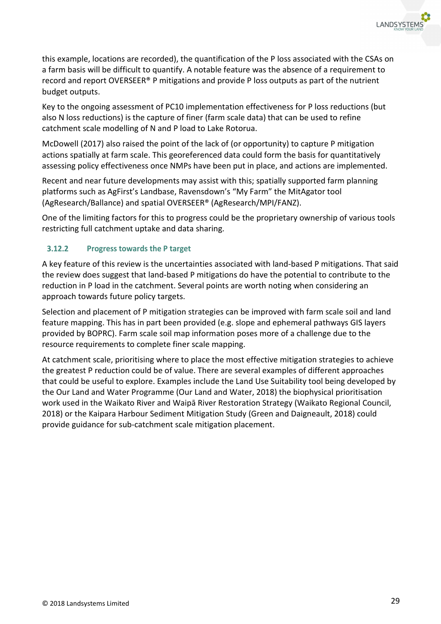

this example, locations are recorded), the quantification of the P loss associated with the CSAs on a farm basis will be difficult to quantify. A notable feature was the absence of a requirement to record and report OVERSEER® P mitigations and provide P loss outputs as part of the nutrient budget outputs.

Key to the ongoing assessment of PC10 implementation effectiveness for P loss reductions (but also N loss reductions) is the capture of finer (farm scale data) that can be used to refine catchment scale modelling of N and P load to Lake Rotorua.

McDowell (2017) also raised the point of the lack of (or opportunity) to capture P mitigation actions spatially at farm scale. This georeferenced data could form the basis for quantitatively assessing policy effectiveness once NMPs have been put in place, and actions are implemented.

Recent and near future developments may assist with this; spatially supported farm planning platforms such as AgFirst's Landbase, Ravensdown's "My Farm" the MitAgator tool (AgResearch/Ballance) and spatial OVERSEER® (AgResearch/MPI/FANZ).

One of the limiting factors for this to progress could be the proprietary ownership of various tools restricting full catchment uptake and data sharing.

### $3.12.2$ **Progress towards the P target**

A key feature of this review is the uncertainties associated with land-based P mitigations. That said the review does suggest that land-based P mitigations do have the potential to contribute to the reduction in P load in the catchment. Several points are worth noting when considering an approach towards future policy targets.

Selection and placement of P mitigation strategies can be improved with farm scale soil and land feature mapping. This has in part been provided (e.g. slope and ephemeral pathways GIS layers provided by BOPRC). Farm scale soil map information poses more of a challenge due to the resource requirements to complete finer scale mapping.

At catchment scale, prioritising where to place the most effective mitigation strategies to achieve the greatest P reduction could be of value. There are several examples of different approaches that could be useful to explore. Examples include the Land Use Suitability tool being developed by the Our Land and Water Programme (Our Land and Water, 2018) the biophysical prioritisation work used in the Waikato River and Waipā River Restoration Strategy (Waikato Regional Council, 2018) or the Kaipara Harbour Sediment Mitigation Study (Green and Daigneault, 2018) could provide guidance for sub-catchment scale mitigation placement.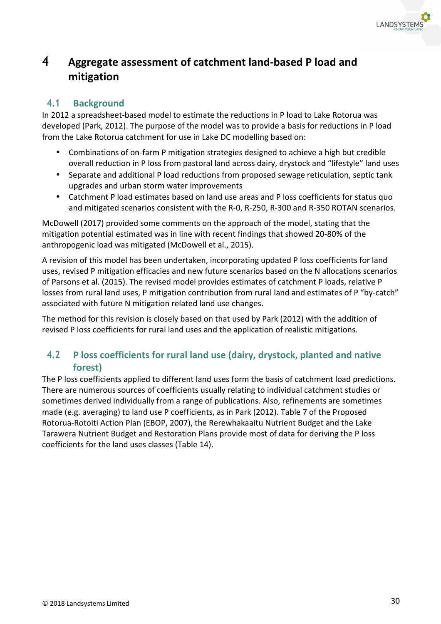

# **4 Aggregate assessment of catchment land-based P load and mitigation**

# **4.1 Background**

In 2012 a spreadsheet-based model to estimate the reductions in P load to Lake Rotorua was developed (Park, 2012). The purpose of the model was to provide a basis for reductions in P load from the Lake Rotorua catchment for use in Lake DC modelling based on:

- Combinations of on-farm P mitigation strategies designed to achieve a high but credible overall reduction in P loss from pastoral land across dairy, drystock and "lifestyle" land uses
- Separate and additional P load reductions from proposed sewage reticulation, septic tank upgrades and urban storm water improvements
- Catchment P load estimates based on land use areas and P loss coefficients for status quo and mitigated scenarios consistent with the R-0, R-250, R-300 and R-350 ROTAN scenarios.

McDowell (2017) provided some comments on the approach of the model, stating that the mitigation potential estimated was in line with recent findings that showed 20-80% of the anthropogenic load was mitigated (McDowell et al., 2015).

A revision of this model has been undertaken, incorporating updated P loss coefficients for land uses, revised P mitigation efficacies and new future scenarios based on the N allocations scenarios of Parsons et al. (2015). The revised model provides estimates of catchment P loads, relative P losses from rural land uses, P mitigation contribution from rural land and estimates of P "by-catch" associated with future N mitigation related land use changes.

The method for this revision is closely based on that used by Park (2012) with the addition of revised P loss coefficients for rural land uses and the application of realistic mitigations.

# **4.2 P loss coefficients for rural land use (dairy, drystock, planted and native forest)**

The P loss coefficients applied to different land uses form the basis of catchment load predictions. There are numerous sources of coefficients usually relating to individual catchment studies or sometimes derived individually from a range of publications. Also, refinements are sometimes made (e.g. averaging) to land use P coefficients, as in Park (2012). Table 7 of the Proposed Rotorua-Rotoiti Action Plan (EBOP, 2007), the Rerewhakaaitu Nutrient Budget and the Lake Tarawera Nutrient Budget and Restoration Plans provide most of data for deriving the P loss coefficients for the land uses classes (Table 14).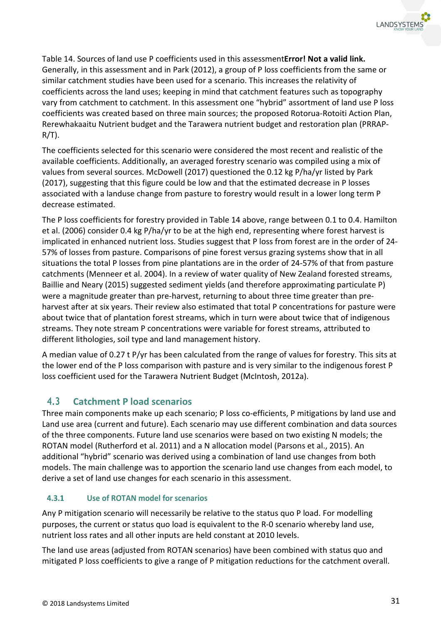

Table 14. Sources of land use P coefficients used in this assessment**Error! Not a valid link.** Generally, in this assessment and in Park (2012), a group of P loss coefficients from the same or similar catchment studies have been used for a scenario. This increases the relativity of coefficients across the land uses; keeping in mind that catchment features such as topography vary from catchment to catchment. In this assessment one "hybrid" assortment of land use P loss coefficients was created based on three main sources; the proposed Rotorua-Rotoiti Action Plan, Rerewhakaaitu Nutrient budget and the Tarawera nutrient budget and restoration plan (PRRAP- $R/T$ ).

The coefficients selected for this scenario were considered the most recent and realistic of the available coefficients. Additionally, an averaged forestry scenario was compiled using a mix of values from several sources. McDowell (2017) questioned the 0.12 kg P/ha/yr listed by Park (2017), suggesting that this figure could be low and that the estimated decrease in P losses associated with a landuse change from pasture to forestry would result in a lower long term P decrease estimated.

The P loss coefficients for forestry provided in Table 14 above, range between 0.1 to 0.4. Hamilton et al. (2006) consider 0.4 kg P/ha/yr to be at the high end, representing where forest harvest is implicated in enhanced nutrient loss. Studies suggest that P loss from forest are in the order of 24- 57% of losses from pasture. Comparisons of pine forest versus grazing systems show that in all situations the total P losses from pine plantations are in the order of 24-57% of that from pasture catchments (Menneer et al. 2004). In a review of water quality of New Zealand forested streams, Baillie and Neary (2015) suggested sediment yields (and therefore approximating particulate P) were a magnitude greater than pre-harvest, returning to about three time greater than preharvest after at six years. Their review also estimated that total P concentrations for pasture were about twice that of plantation forest streams, which in turn were about twice that of indigenous streams. They note stream P concentrations were variable for forest streams, attributed to different lithologies, soil type and land management history.

A median value of 0.27 t P/yr has been calculated from the range of values for forestry. This sits at the lower end of the P loss comparison with pasture and is very similar to the indigenous forest P loss coefficient used for the Tarawera Nutrient Budget (McIntosh, 2012a).

# **4.3 Catchment P load scenarios**

Three main components make up each scenario; P loss co-efficients, P mitigations by land use and Land use area (current and future). Each scenario may use different combination and data sources of the three components. Future land use scenarios were based on two existing N models; the ROTAN model (Rutherford et al. 2011) and a N allocation model (Parsons et al., 2015). An additional "hybrid" scenario was derived using a combination of land use changes from both models. The main challenge was to apportion the scenario land use changes from each model, to derive a set of land use changes for each scenario in this assessment.

## $4.3.1$ **Use of ROTAN model for scenarios**

Any P mitigation scenario will necessarily be relative to the status quo P load. For modelling purposes, the current or status quo load is equivalent to the R-0 scenario whereby land use, nutrient loss rates and all other inputs are held constant at 2010 levels.

The land use areas (adjusted from ROTAN scenarios) have been combined with status quo and mitigated P loss coefficients to give a range of P mitigation reductions for the catchment overall.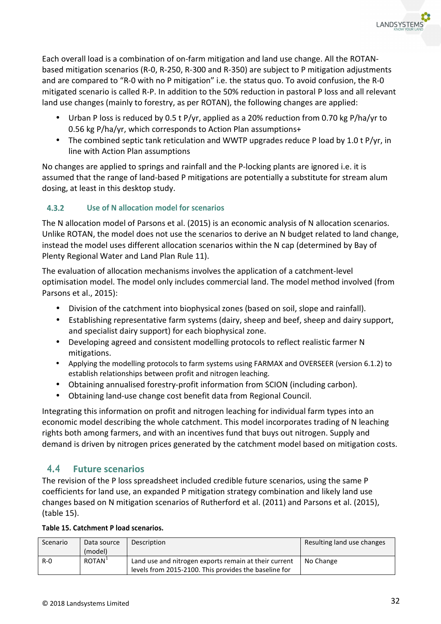

Each overall load is a combination of on-farm mitigation and land use change. All the ROTANbased mitigation scenarios (R-0, R-250, R-300 and R-350) are subject to P mitigation adjustments and are compared to "R-0 with no P mitigation" i.e. the status quo. To avoid confusion, the R-0 mitigated scenario is called R-P. In addition to the 50% reduction in pastoral P loss and all relevant land use changes (mainly to forestry, as per ROTAN), the following changes are applied:

- Urban P loss is reduced by 0.5 t P/yr, applied as a 20% reduction from 0.70 kg P/ha/yr to 0.56 kg P/ha/yr, which corresponds to Action Plan assumptions+
- The combined septic tank reticulation and WWTP upgrades reduce P load by 1.0 t P/yr, in line with Action Plan assumptions

No changes are applied to springs and rainfall and the P-locking plants are ignored i.e. it is assumed that the range of land-based P mitigations are potentially a substitute for stream alum dosing, at least in this desktop study.

### **Use of N allocation model for scenarios**   $4.3.2$

The N allocation model of Parsons et al. (2015) is an economic analysis of N allocation scenarios. Unlike ROTAN, the model does not use the scenarios to derive an N budget related to land change, instead the model uses different allocation scenarios within the N cap (determined by Bay of Plenty Regional Water and Land Plan Rule 11).

The evaluation of allocation mechanisms involves the application of a catchment-level optimisation model. The model only includes commercial land. The model method involved (from Parsons et al., 2015):

- Division of the catchment into biophysical zones (based on soil, slope and rainfall).
- Establishing representative farm systems (dairy, sheep and beef, sheep and dairy support, and specialist dairy support) for each biophysical zone.
- Developing agreed and consistent modelling protocols to reflect realistic farmer N mitigations.
- Applying the modelling protocols to farm systems using FARMAX and OVERSEER (version 6.1.2) to establish relationships between profit and nitrogen leaching.
- Obtaining annualised forestry-profit information from SCION (including carbon).
- Obtaining land-use change cost benefit data from Regional Council.

Integrating this information on profit and nitrogen leaching for individual farm types into an economic model describing the whole catchment. This model incorporates trading of N leaching rights both among farmers, and with an incentives fund that buys out nitrogen. Supply and demand is driven by nitrogen prices generated by the catchment model based on mitigation costs.

## **4.4 Future scenarios**

The revision of the P loss spreadsheet included credible future scenarios, using the same P coefficients for land use, an expanded P mitigation strategy combination and likely land use changes based on N mitigation scenarios of Rutherford et al. (2011) and Parsons et al. (2015), (table 15).

| Table 15. Catchment P load scenarios. |  |
|---------------------------------------|--|
|---------------------------------------|--|

| Scenario | Data source<br>(model) | Description                                                                                                    | Resulting land use changes |
|----------|------------------------|----------------------------------------------------------------------------------------------------------------|----------------------------|
| $R - 0$  | ROTAN <sup>+</sup>     | Land use and nitrogen exports remain at their current<br>levels from 2015-2100. This provides the baseline for | No Change                  |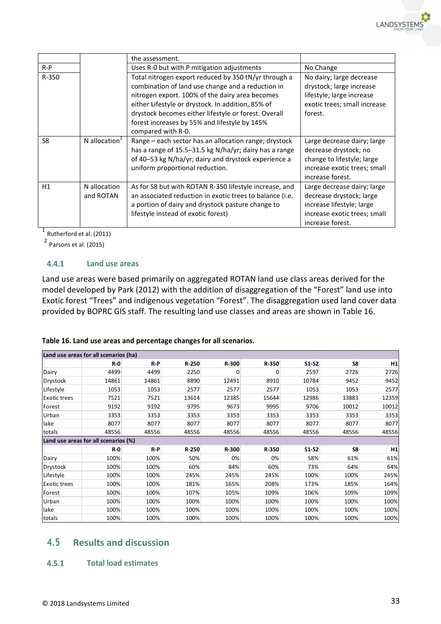|                |                           | the assessment.                                                                                                                                                                                                                                                                                                                                  |                                                                                                                                          |
|----------------|---------------------------|--------------------------------------------------------------------------------------------------------------------------------------------------------------------------------------------------------------------------------------------------------------------------------------------------------------------------------------------------|------------------------------------------------------------------------------------------------------------------------------------------|
| $R-P$          |                           | Uses R-0 but with P mitigation adjustments                                                                                                                                                                                                                                                                                                       | No Change                                                                                                                                |
| R-350          |                           | Total nitrogen export reduced by 350 tN/yr through a<br>combination of land use change and a reduction in<br>nitrogen export. 100% of the dairy area becomes<br>either Lifestyle or drystock. In addition, 85% of<br>drystock becomes either lifestyle or forest. Overall<br>forest increases by 55% and lifestyle by 145%<br>compared with R-0. | No dairy; large decrease<br>drystock; large increase<br>lifestyle; large increase<br>exotic trees; small increase<br>forest.             |
| S <sub>8</sub> | N allocation $2$          | Range – each sector has an allocation range; drystock<br>has a range of 15.5-31.5 kg N/ha/yr; dairy has a range<br>of 40-53 kg N/ha/yr; dairy and drystock experience a<br>uniform proportional reduction.                                                                                                                                       | Large decrease dairy; large<br>decrease drystock; no<br>change to lifestyle; large<br>increase exotic trees; small<br>increase forest.   |
| H1             | N allocation<br>and ROTAN | As for S8 but with ROTAN R-350 lifestyle increase, and<br>an associated reduction in exotic trees to balance (i.e.<br>a portion of dairy and drystock pasture change to<br>lifestyle instead of exotic forest)                                                                                                                                   | Large decrease dairy; large<br>decrease drystock; large<br>increase lifestyle; large<br>increase exotic trees; small<br>increase forest. |

 $1$  Rutherford et al. (2011)

2 Parsons et al. (2015)

#### $4.4.1$ **Land use areas**

Land use areas were based primarily on aggregated ROTAN land use class areas derived for the model developed by Park (2012) with the addition of disaggregation of the "Forest" land use into Exotic forest "Trees" and indigenous vegetation "Forest". The disaggregation used land cover data provided by BOPRC GIS staff. The resulting land use classes and areas are shown in Table 16.

## **Table 16. Land use areas and percentage changes for all scenarios.**

|                     | Land use areas for all scenarios (ha) |       |       |       |       |         |       |       |
|---------------------|---------------------------------------|-------|-------|-------|-------|---------|-------|-------|
|                     | $R - 0$                               | $R-P$ | R-250 | R-300 | R-350 | $S1-S2$ | S8    | H1    |
| Dairy               | 4499                                  | 4499  | 2250  | 0     | 0     | 2597    | 2726  | 2726  |
| Drystock            | 14861                                 | 14861 | 8890  | 12491 | 8910  | 10784   | 9452  | 9452  |
| Lifestyle           | 1053                                  | 1053  | 2577  | 2577  | 2577  | 1053    | 1053  | 2577  |
| <b>Exotic trees</b> | 7521                                  | 7521  | 13614 | 12385 | 15644 | 12986   | 13883 | 12359 |
| Forest              | 9192                                  | 9192  | 9795  | 9673  | 9995  | 9706    | 10012 | 10012 |
| Urban               | 3353                                  | 3353  | 3353  | 3353  | 3353  | 3353    | 3353  | 3353  |
| lake                | 8077                                  | 8077  | 8077  | 8077  | 8077  | 8077    | 8077  | 8077  |
| totals              | 48556                                 | 48556 | 48556 | 48556 | 48556 | 48556   | 48556 | 48556 |
|                     | Land use areas for all scenarios (%)  |       |       |       |       |         |       |       |
|                     | $R - 0$                               | $R-P$ | R-250 | R-300 | R-350 | $S1-S2$ | S8    | H1    |
| Dairy               | 100%                                  | 100%  | 50%   | 0%    | 0%    | 58%     | 61%   | 61%   |
| Drystock            | 100%                                  | 100%  | 60%   | 84%   | 60%   | 73%     | 64%   | 64%   |
| Lifestyle           | 100%                                  | 100%  | 245%  | 245%  | 245%  | 100%    | 100%  | 245%  |
| Exotic trees        | 100%                                  | 100%  | 181%  | 165%  | 208%  | 173%    | 185%  | 164%  |
| Forest              | 100%                                  | 100%  | 107%  | 105%  | 109%  | 106%    | 109%  | 109%  |
| Urban               | 100%                                  | 100%  | 100%  | 100%  | 100%  | 100%    | 100%  | 100%  |
| lake                | 100%                                  | 100%  | 100%  | 100%  | 100%  | 100%    | 100%  | 100%  |
| totals              | 100%                                  | 100%  | 100%  | 100%  | 100%  | 100%    | 100%  | 100%  |

## **4.5 Results and discussion**

#### $4.5.1$ **Total load estimates**

**LANDSYSTEM**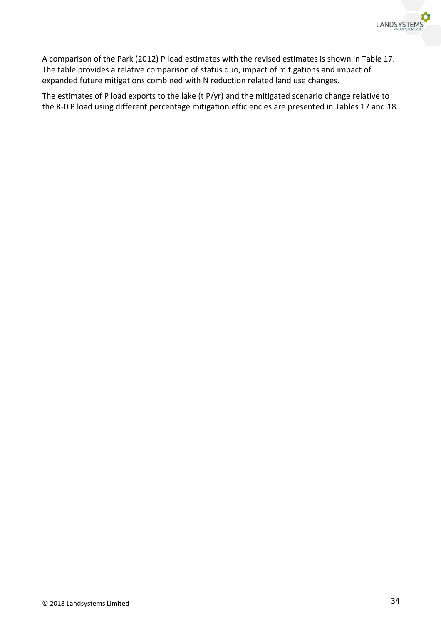

A comparison of the Park (2012) P load estimates with the revised estimates is shown in Table 17. The table provides a relative comparison of status quo, impact of mitigations and impact of expanded future mitigations combined with N reduction related land use changes.

The estimates of P load exports to the lake (t P/yr) and the mitigated scenario change relative to the R-0 P load using different percentage mitigation efficiencies are presented in Tables 17 and 18.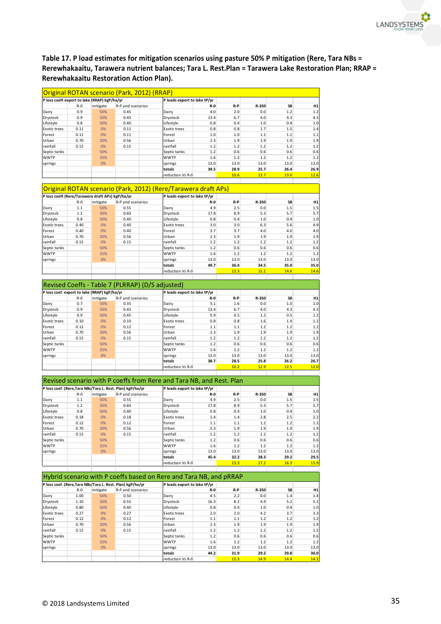

**Table 17. P load estimates for mitigation scenarios using pasture 50% P mitigation (Rere, Tara NBs = Rerewhakaaitu, Tarawera nutrient balances; Tara L. Rest.Plan = Tarawera Lake Restoration Plan; RRAP = Rerewhakaaitu Restoration Action Plan).** 

|                                                  |         |          | Original ROTAN scenario (Park, 2012) (RRAP)                                     |                                                                      |         |         |       |       |             |
|--------------------------------------------------|---------|----------|---------------------------------------------------------------------------------|----------------------------------------------------------------------|---------|---------|-------|-------|-------------|
| P loss coeft export to lake (RRAP) kgP/ha/yr     |         |          |                                                                                 | P loads export to lake tP/yr                                         |         |         |       |       |             |
|                                                  | $R - 0$ | mitigate | R-P and scenarios                                                               |                                                                      | R-0     | R-P     | R-350 | S8    | H1          |
| Dairy                                            | 0.9     | 50%      | 0.45                                                                            | Dairy                                                                | 4.0     | 2.0     | 0.0   | 1.2   | 1.2         |
| Drystock                                         | 0.9     | 50%      | 0.45                                                                            | Drystock                                                             | 13.4    | 6.7     | 4.0   | 4.3   | 4.3         |
| Lifestyle                                        | 0.8     | 50%      | 0.40                                                                            | Lifestyle                                                            | 0.8     | 0.4     | 1.0   | 0.4   | 1.0         |
| Exotic trees                                     | 0.11    | 0%       | 0.11                                                                            | <b>Exotic trees</b>                                                  | 0.8     | 0.8     | 1.7   | 1.5   | 1.4         |
| Forest                                           | 0.11    | 0%       | 0.11                                                                            | Forest                                                               | 1.0     | 1.0     | 1.1   | 1.1   | 1.1         |
| Urban                                            | 0.70    | 20%      | 0.56                                                                            | Urban                                                                | 2.3     | 1.9     | 1.9   | 1.9   | 1.9         |
|                                                  |         |          |                                                                                 |                                                                      |         |         |       |       |             |
| rainfall                                         | 0.15    | 0%       | 0.15                                                                            | rainfall                                                             | 1.2     | 1.2     | 1.2   | 1.2   | 1.2         |
| Septic tanks                                     |         | 50%      |                                                                                 | Septic tanks                                                         | 1.2     | 0.6     | 0.6   | 0.6   | 0.6         |
| <b>WWTP</b>                                      |         | 25%      |                                                                                 | <b>WWTP</b>                                                          | 1.6     | 1.2     | 1.2   | 1.2   | 1.2         |
| springs                                          |         | 0%       |                                                                                 | springs                                                              | 13.0    | 13.0    | 13.0  | 13.0  | 13.0        |
|                                                  |         |          |                                                                                 | totals                                                               | 39.5    | 28.9    | 25.7  | 26.4  | 26.9        |
|                                                  |         |          |                                                                                 | reduction Vs R-0                                                     |         | 10.6    | 13.7  | 13.0  | 12.6        |
|                                                  |         |          |                                                                                 |                                                                      |         |         |       |       |             |
|                                                  |         |          |                                                                                 | Original ROTAN scenario (Park, 2012) (Rere/Tarawera draft APs)       |         |         |       |       |             |
| P loss coeft (Rere/Tarawera draft APs) kgP/ha/yr |         |          |                                                                                 | P loads export to lake tP/yr                                         |         |         |       |       |             |
|                                                  | $R - 0$ | mitigate | R-P and scenarios                                                               |                                                                      | R-0     | R-P     | R-350 | S8    | H1          |
|                                                  |         |          |                                                                                 |                                                                      |         |         |       |       |             |
| Dairy                                            | 1.1     | 50%      | 0.55                                                                            | Dairy                                                                | 4.9     | 2.5     | 0.0   | 1.5   | 1.5         |
| Drystock                                         | 1.2     | 50%      | 0.60                                                                            | Drystock                                                             | 17.8    | 8.9     | 5.3   | 5.7   | 5.7         |
| Lifestyle                                        | 0.8     | 50%      | 0.40                                                                            | Lifestyle                                                            | 0.8     | 0.4     | 1.0   | 0.4   | 1.0         |
| Exotic trees                                     | 0.40    | 0%       | 0.40                                                                            | <b>Exotic trees</b>                                                  | 3.0     | 3.0     | 6.3   | 5.6   | 4.9         |
|                                                  |         |          |                                                                                 |                                                                      |         |         |       |       |             |
| Forest                                           | 0.40    | 0%       | 0.40                                                                            | Forest                                                               | 3.7     | 3.7     | 4.0   | 4.0   | 4.0         |
| Urban                                            | 0.70    | 20%      | 0.56                                                                            | Urban                                                                | 2.3     | 1.9     | 1.9   | 1.9   | 1.9         |
| rainfall                                         | 0.15    | 0%       | 0.15                                                                            | rainfall                                                             | 1.2     | 1.2     | 1.2   | 1.2   | 1.2         |
| Septic tanks                                     |         | 50%      |                                                                                 | Septic tanks                                                         | 1.2     | 0.6     | 0.6   | 0.6   | 0.6         |
|                                                  |         |          |                                                                                 |                                                                      |         |         |       |       |             |
| WWTP                                             |         | 25%      |                                                                                 | <b>WWTP</b>                                                          | 1.6     | 1.2     | 1.2   | 1.2   | 1.2         |
| springs                                          |         | 0%       |                                                                                 | springs                                                              | 13.0    | 13.0    | 13.0  | 13.0  | 13.0        |
|                                                  |         |          |                                                                                 | totals                                                               | 49.7    | 36.4    | 34.5  | 35.0  | 35.0        |
|                                                  |         |          |                                                                                 | reduction Vs R-0                                                     |         | 13.3    | 15.1  | 14.6  | 14.6        |
|                                                  |         |          |                                                                                 |                                                                      |         |         |       |       |             |
|                                                  |         |          | Revised Coeffs - Table 7 (PLRRAP) (D/S adjusted)                                |                                                                      |         |         |       |       |             |
| P loss coef. export to lake (RRAP) kgP/ha/yr     |         |          |                                                                                 | P loads export to lake tP/yr                                         |         |         |       |       |             |
|                                                  |         |          |                                                                                 |                                                                      |         |         |       |       |             |
|                                                  | $R - 0$ | mitigate | R-P and scenarios                                                               |                                                                      | R-0     | R-P     | R-350 | S8    | H1          |
| Dairy                                            | 0.7     | 50%      | 0.35                                                                            | Dairy                                                                | 3.1     | 1.6     | 0.0   | 1.0   | 1.0         |
| Drystock                                         | 0.9     | 50%      | 0.45                                                                            | Drystock                                                             | 13.4    | 6.7     | 4.0   | 4.3   | 4.3         |
|                                                  | 0.9     | 50%      | 0.45                                                                            |                                                                      | 0.9     | 0.5     | 1.2   | 0.5   | 1.2         |
| Lifestyle                                        |         |          |                                                                                 | Lifestyle                                                            |         |         |       |       |             |
| Exotic trees                                     | 0.10    | 0%       | 0.10                                                                            | <b>Exotic trees</b>                                                  | 0.8     | 0.8     | 1.6   | 1.4   | 1.2         |
| Forest                                           | 0.12    | 0%       | 0.12                                                                            | Forest                                                               | 1.1     | 1.1     | 1.2   | 1.2   | 1.2         |
| Urban                                            | 0.70    | 20%      | 0.56                                                                            | Urban                                                                | 2.3     | 1.9     | 1.9   | 1.9   | 1.9         |
| rainfall                                         |         | 0%       |                                                                                 | rainfall                                                             | 1.2     | 1.2     | 1.2   | 1.2   | 1.2         |
|                                                  | 0.15    |          | 0.15                                                                            |                                                                      |         |         |       |       |             |
| Septic tanks                                     |         | 50%      |                                                                                 | Septic tanks                                                         | 1.2     | 0.6     | 0.6   | 0.6   | 0.6         |
| <b>WWTP</b>                                      |         | 25%      |                                                                                 | <b>WWTP</b>                                                          | 1.6     | 1.2     | 1.2   | 1.2   | 1.2         |
| springs                                          |         | 0%       |                                                                                 | springs                                                              | 13.0    | 13.0    | 13.0  | 13.0  | 13.0        |
|                                                  |         |          |                                                                                 |                                                                      |         |         |       |       |             |
|                                                  |         |          |                                                                                 | totals                                                               | 38.7    | 28.5    | 25.8  | 26.2  | 26.7        |
|                                                  |         |          |                                                                                 | reduction Vs R-0                                                     |         | 10.2    | 12.9  | 12.5  | 12.0        |
|                                                  |         |          |                                                                                 |                                                                      |         |         |       |       |             |
|                                                  |         |          |                                                                                 | Revised scenario with P coeffs from Rere and Tara NB, and Rest. Plan |         |         |       |       |             |
|                                                  |         |          | P loss coef. (Rere, Tara NBs/Tara L. Rest. Plan) kgP/ha/yr                      | P loads export to lake tP/yr                                         |         |         |       |       |             |
|                                                  | $R - 0$ | mitigate | R-P and scenarios                                                               |                                                                      | R-0     | R-P     | R-350 | S8    | H1          |
| Dairy                                            | 1.1     | 50%      | 0.55                                                                            | Dairy                                                                | 4.9     | 2.5     | 0.0   | 1.5   | 1.5         |
| Drystock                                         | 1.2     | 50%      | 0.60                                                                            | Drystock                                                             | 17.8    | 8.9     | 5.3   | 5.7   | 5.7         |
|                                                  |         |          |                                                                                 |                                                                      |         |         |       |       |             |
| Lifestyle                                        | 0.8     | 50%      | 0.40                                                                            | Lifestyle                                                            | 0.8     | 0.4     | 1.0   | 0.4   | 1.0         |
| <b>Exotic trees</b>                              | 0.18    | 0%       | 0.18                                                                            | <b>Exotic trees</b>                                                  | 1.4     | 1.4     | 2.8   | 2.5   | 2.2         |
| orest-                                           | 0.12    | 0%       | 0.12                                                                            | -orest                                                               | 1.1     | 1.1     | 1.2   | 1.2   | 1.2         |
| Urban                                            | 0.70    | 20%      | 0.56                                                                            | Urban                                                                | 2.3     | 1.9     | 1.9   | 1.9   | 1.9         |
|                                                  |         |          |                                                                                 |                                                                      |         |         |       |       |             |
| rainfall                                         | 0.15    | 0%       | 0.15                                                                            | rainfall                                                             | 1.2     | 1.2     | 1.2   | $1.2$ | 1.2         |
| Septic tanks                                     |         | 50%      |                                                                                 | Septic tanks                                                         | 1.2     | 0.6     | 0.6   | 0.6   | 0.6         |
| <b>WWTP</b>                                      |         | 25%      |                                                                                 | <b>WWTP</b>                                                          | 1.6     | 1.2     | 1.2   | 1.2   | 1.2         |
| springs                                          |         | 0%       |                                                                                 | springs                                                              | 13.0    | 13.0    | 13.0  | 13.0  | 13.0        |
|                                                  |         |          |                                                                                 | totals                                                               | 45.4    | 32.2    | 28.3  | 29.2  | 29.5        |
|                                                  |         |          |                                                                                 | reduction Vs R-0                                                     |         | 13.3    | 17.2  | 16.3  | <b>15.9</b> |
|                                                  |         |          |                                                                                 |                                                                      |         |         |       |       |             |
|                                                  |         |          |                                                                                 | Hybrid scenario with P coeffs based on Rere and Tara NB, and pRRAP   |         |         |       |       |             |
|                                                  |         |          |                                                                                 | P loads export to lake tP/yr                                         |         |         |       |       |             |
|                                                  | $R - 0$ | mitigate | P loss coef. (Rere, Tara NBs/Tara L. Rest. Plan) kgP/ha/yr<br>R-P and scenarios |                                                                      | R-0     | R-P     | R-350 | S8    | H1          |
|                                                  | 1.00    | 50%      | 0.50                                                                            | Dairy                                                                | 4.5     | 2.2     | 0.0   | 1.4   | 1.4         |
| Dairy                                            |         |          |                                                                                 |                                                                      |         |         |       |       |             |
| Drystock                                         | 1.10    | 50%      | 0.55                                                                            | Drystock                                                             | 16.3    | 8.2     | 4.9   | 5.2   | 5.2         |
| Lifestyle                                        | 0.80    | 50%      | 0.40                                                                            | Lifestyle                                                            | 0.8     | 0.4     | 1.0   | 0.4   | 1.0         |
| Exotic trees                                     | 0.27    | 0%       | 0.27                                                                            | <b>Exotic trees</b>                                                  | 2.0     | 2.0     | 4.2   | 3.7   | 3.3         |
|                                                  |         |          |                                                                                 |                                                                      |         |         |       |       |             |
| Forest                                           | 0.12    | 0%       | 0.12                                                                            | Forest                                                               | $1.1\,$ | $1.1\,$ | 1.2   | $1.2$ | 1.2         |
| Urban                                            | 0.70    | 20%      | 0.56                                                                            | Urban                                                                | 2.3     | 1.9     | 1.9   | 1.9   | 1.9         |
| rainfall                                         | 0.15    | 0%       | 0.15                                                                            | rainfall                                                             | 1.2     | 1.2     | 1.2   | 1.2   | 1.2         |
|                                                  |         |          |                                                                                 |                                                                      |         |         |       |       |             |
| Septic tanks                                     |         | 50%      |                                                                                 | Septic tanks                                                         | 1.2     | 0.6     | 0.6   | 0.6   | 0.6         |
| <b>WWTP</b>                                      |         | 25%      |                                                                                 | <b>WWTP</b>                                                          | 1.6     | 1.2     | 1.2   | $1.2$ | 1.2         |
| springs                                          |         | 0%       |                                                                                 | springs                                                              | 13.0    | 13.0    | 13.0  | 13.0  | 13.0        |
|                                                  |         |          |                                                                                 | totals                                                               | 44.2    | 31.9    | 29.2  | 29.8  | 30.0        |
|                                                  |         |          |                                                                                 |                                                                      |         |         |       |       |             |
|                                                  |         |          |                                                                                 | reduction Vs R-0                                                     |         | 12.3    | 14.9  | 14.4  | 14.2        |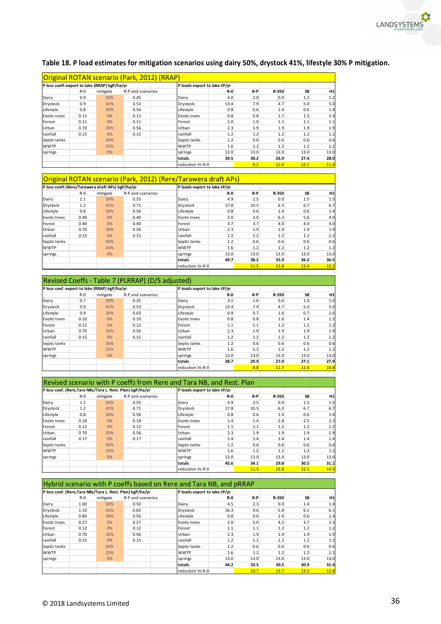

|                                                  |         |          | Original ROTAN scenario (Park, 2012) (RRAP)                    |                              |         |       |       |      |      |
|--------------------------------------------------|---------|----------|----------------------------------------------------------------|------------------------------|---------|-------|-------|------|------|
| P loss coeft export to lake (RRAP) kgP/ha/yr     |         |          |                                                                | P loads export to lake tP/yr |         |       |       |      |      |
|                                                  | $R - 0$ | mitigate | R-P and scenarios                                              |                              | $R - 0$ | $R-P$ | R-350 | S8   | H1   |
| Dairy                                            | 0.9     | 50%      | 0.45                                                           | Dairy                        | 4.0     | 2.0   | 0.0   | 1.2  | 1.2  |
| Drystock                                         | 0.9     | 41%      | 0.53                                                           | Drystock                     | 13.4    | 7.9   | 4.7   | 5.0  | 5.0  |
| Lifestyle                                        | 0.8     | 30%      | 0.56                                                           | Lifestyle                    | 0.8     | 0.6   | 1.4   | 0.6  | 1.4  |
| <b>Exotic trees</b>                              | 0.11    | 0%       | 0.11                                                           | <b>Exotic trees</b>          | 0.8     | 0.8   | 1.7   | 1.5  | 1.4  |
| Forest                                           | 0.11    | 0%       | 0.11                                                           | Forest                       | 1.0     | 1.0   | 1.1   | 1.1  | 1.1  |
| Urban                                            | 0.70    | 20%      | 0.56                                                           | Urban                        | 2.3     | 1.9   | 1.9   | 1.9  | 1.9  |
| rainfall                                         | 0.15    | 0%       | 0.15                                                           | rainfall                     | 1.2     | 1.2   | 1.2   | 1.2  | 1.2  |
| Septic tanks                                     |         | 50%      |                                                                | Septic tanks                 | 1.2     | 0.6   | 0.6   | 0.6  | 0.6  |
| <b>WWTP</b>                                      |         | 25%      |                                                                | <b>WWTP</b>                  | 1.6     | 1.2   | 1.2   | 1.2  | 1.2  |
| springs                                          |         | 0%       |                                                                | springs                      | 13.0    | 13.0  | 13.0  | 13.0 | 13.0 |
|                                                  |         |          |                                                                | totals                       | 39.5    | 30.2  | 26.9  | 27.4 | 28.0 |
|                                                  |         |          |                                                                | reduction Vs R-0             |         | 9.2   | 12.6  | 12.1 | 11.4 |
|                                                  |         |          | Original ROTAN scenario (Park, 2012) (Rere/Tarawera draft APs) |                              |         |       |       |      |      |
| P loss coeft (Rere/Tarawera draft APs) kgP/ha/yr |         |          |                                                                | P loads export to lake tP/yr |         |       |       |      |      |
|                                                  | $R - 0$ | mitigate | R-P and scenarios                                              |                              | $R - 0$ | $R-P$ | R-350 | S8   | H1   |
| Dairy                                            | 1.1     | 50%      | 0.55                                                           | Dairy                        | 4.9     | 2.5   | 0.0   | 1.5  | 1.5  |

## **Table 18. P load estimates for mitigation scenarios using dairy 50%, drystock 41%, lifestyle 30% P mitigation.**

|                                                  |         |          | Original ROTAN scenario (Park, 2012) (Rere/Tarawera draft APs) |                              |         |       |       |      |      |
|--------------------------------------------------|---------|----------|----------------------------------------------------------------|------------------------------|---------|-------|-------|------|------|
| P loss coeft (Rere/Tarawera draft APs) kgP/ha/yr |         |          |                                                                | P loads export to lake tP/vr |         |       |       |      |      |
|                                                  | $R - 0$ | mitigate | R-P and scenarios                                              |                              | $R - 0$ | $R-P$ | R-350 | S8   | H1   |
| Dairy                                            | 1.1     | 50%      | 0.55                                                           | Dairy                        | 4.9     | 2.5   | 0.0   | 1.5  | 1.5  |
| Drystock                                         | 1.2     | 41%      | 0.71                                                           | <b>Drystock</b>              | 17.8    | 10.5  | 6.3   | 6.7  | 6.7  |
| Lifestyle                                        | 0.8     | 30%      | 0.56                                                           | Lifestyle                    | 0.8     | 0.6   | 1.4   | 0.6  | 1.4  |
| <b>Exotic trees</b>                              | 0.40    | 0%       | 0.40                                                           | <b>Exotic trees</b>          | 3.0     | 3.0   | 6.3   | 5.6  | 4.9  |
| Forest                                           | 0.40    | 0%       | 0.40                                                           | Forest                       | 3.7     | 3.7   | 4.0   | 4.0  | 4.0  |
| Urban                                            | 0.70    | 20%      | 0.56                                                           | Urban                        | 2.3     | 1.9   | 1.9   | 1.9  | 1.9  |
| rainfall                                         | 0.15    | 0%       | 0.15                                                           | rainfall                     | 1.2     | 1.2   | 1.2   | 1.2  | 1.2  |
| Septic tanks                                     |         | 50%      |                                                                | Septic tanks                 | 1.2     | 0.6   | 0.6   | 0.6  | 0.6  |
| <b>WWTP</b>                                      |         | 25%      |                                                                | <b>WWTP</b>                  | 1.6     | 1.2   | 1.2   | 1.2  | 1.2  |
| springs                                          |         | $0\%$    |                                                                | springs                      | 13.0    | 13.0  | 13.0  | 13.0 | 13.0 |
|                                                  |         |          |                                                                | totals                       | 49.7    | 38.2  | 35.9  | 36.2 | 36.5 |
|                                                  |         |          |                                                                | reduction Vs R-0             |         | 11.5  | 13.8  | 13.4 | 13.2 |

## Revised Coeffs - Table 7 (PLRRAP) (D/S adjusted)

| P loss coef. export to lake (RRAP) kgP/ha/yr |         |          |                   | P loads export to lake tP/yr |         |       |       |      |      |
|----------------------------------------------|---------|----------|-------------------|------------------------------|---------|-------|-------|------|------|
|                                              | $R - 0$ | mitigate | R-P and scenarios |                              | $R - 0$ | $R-P$ | R-350 | S8   | H1   |
| Dairy                                        | 0.7     | 50%      | 0.35              | Dairy                        | 3.1     | 1.6   | 0.0   | 1.0  | 1.0  |
| <b>Drystock</b>                              | 0.9     | 41%      | 0.53              | Drystock                     | 13.4    | 7.9   | 4.7   | 5.0  | 5.0  |
| Lifestyle                                    | 0.9     | 30%      | 0.63              | Lifestyle                    | 0.9     | 0.7   | 1.6   | 0.7  | 1.6  |
| <b>Exotic trees</b>                          | 0.10    | 0%       | 0.10              | <b>Exotic trees</b>          | 0.8     | 0.8   | 1.6   | 1.4  | 1.2  |
| Forest                                       | 0.12    | 0%       | 0.12              | Forest                       | 1.1     | 1.1   | 1.2   | 1.2  | 1.2  |
| Urban                                        | 0.70    | 20%      | 0.56              | Urban                        | 2.3     | 1.9   | 1.9   | 1.9  | 1.9  |
| rainfall                                     | 0.15    | 0%       | 0.15              | rainfall                     | 1.2     | 1.2   | 1.2   | 1.2  | 1.2  |
| Septic tanks                                 |         | 50%      |                   | Septic tanks                 | 1.2     | 0.6   | 0.6   | 0.6  | 0.6  |
| <b>WWTP</b>                                  |         | 25%      |                   | <b>WWTP</b>                  | 1.6     | 1.2   | 1.2   | 1.2  | 1.2  |
| springs                                      |         | 0%       |                   | springs                      | 13.0    | 13.0  | 13.0  | 13.0 | 13.0 |
|                                              |         |          |                   | totals                       | 38.7    | 29.9  | 27.0  | 27.1 | 27.9 |
|                                              |         |          |                   | reduction Vs R-0             |         | 8.8   | 11.7  | 11.6 | 10.8 |
|                                              |         |          |                   |                              |         |       |       |      |      |

|                     |       |          | Revised scenario with P coeffs from Rere and Tara NB, and Rest. Plan |                              |         |       |       |      |      |
|---------------------|-------|----------|----------------------------------------------------------------------|------------------------------|---------|-------|-------|------|------|
|                     |       |          | P loss coef. (Rere, Tara NBs/Tara L. Rest. Plan) kgP/ha/yr           | P loads export to lake tP/yr |         |       |       |      |      |
|                     | $R-O$ | mitigate | R-P and scenarios                                                    |                              | $R - 0$ | $R-P$ | R-350 | S8   | H1   |
| Dairy               | 1.1   | 50%      | 0.55                                                                 | Dairy                        | 4.9     | 2.5   | 0.0   | 1.5  | 1.5  |
| Drystock            | 1.2   | 41%      | 0.71                                                                 | Drystock                     | 17.8    | 10.5  | 6.3   | 6.7  | 6.7  |
| Lifestyle           | 0.8   | 30%      | 0.56                                                                 | Lifestyle                    | 0.8     | 0.6   | 1.4   | 0.6  | 1.4  |
| <b>Exotic trees</b> | 0.18  | 0%       | 0.18                                                                 | <b>Exotic trees</b>          | 1.4     | 1.4   | 2.8   | 2.5  | 2.2  |
| Forest              | 0.12  | 0%       | 0.12                                                                 | Forest                       | 1.1     | 1.1   | 1.2   | 1.2  | 1.2  |
| Urban               | 0.70  | 20%      | 0.56                                                                 | Urban                        | 2.3     | 1.9   | 1.9   | 1.9  | 1.9  |
| rainfall            | 0.17  | 0%       | 0.17                                                                 | rainfall                     | 1.4     | 1.4   | 1.4   | 1.4  | 1.4  |
| Septic tanks        |       | 50%      |                                                                      | Septic tanks                 | 1.2     | 0.6   | 0.6   | 0.6  | 0.6  |
| <b>WWTP</b>         |       | 25%      |                                                                      | <b>WWTP</b>                  | 1.6     | 1.2   | 1.2   | 1.2  | 1.2  |
| springs             |       | 0%       |                                                                      | springs                      | 13.0    | 13.0  | 13.0  | 13.0 | 13.0 |
|                     |       |          |                                                                      | totals                       | 45.6    | 34.1  | 29.8  | 30.5 | 31.1 |
|                     |       |          |                                                                      | reduction Vs R-0             |         | 11.5  | 15.8  | 15.1 | 14.5 |

| Hybrid scenario with P coeffs based on Rere and Tara NB, and pRRAP |         |          |                                                            |                              |         |       |       |      |      |
|--------------------------------------------------------------------|---------|----------|------------------------------------------------------------|------------------------------|---------|-------|-------|------|------|
|                                                                    |         |          | P loss coef. (Rere, Tara NBs/Tara L. Rest. Plan) kgP/ha/yr | P loads export to lake tP/vr |         |       |       |      |      |
|                                                                    | $R - 0$ | mitigate | R-P and scenarios                                          |                              | $R - 0$ | $R-P$ | R-350 | S8   | H1   |
| Dairy                                                              | 1.00    | 50%      | 0.50                                                       | Dairy                        | 4.5     | 2.3   | 0.0   | 1.4  | 1.4  |
| <b>Drystock</b>                                                    | 1.10    | 41%      | 0.65                                                       | Drystock                     | 16.3    | 9.6   | 5.8   | 6.1  | 6.1  |
| Lifestyle                                                          | 0.80    | 30%      | 0.56                                                       | Lifestyle                    | 0.8     | 0.6   | 1.4   | 0.6  | 1.4  |
| <b>Exotic trees</b>                                                | 0.27    | 0%       | 0.27                                                       | <b>Exotic trees</b>          | 2.0     | 2.0   | 4.2   | 3.7  | 3.3  |
| Forest                                                             | 0.12    | 0%       | 0.12                                                       | Forest                       | 1.1     | 1.1   | 1.2   | 1.2  | 1.2  |
| Urban                                                              | 0.70    | 20%      | 0.56                                                       | Urban                        | 2.3     | 1.9   | 1.9   | 1.9  | 1.9  |
| rainfall                                                           | 0.15    | 0%       | 0.15                                                       | rainfall                     | 1.2     | 1.2   | 1.2   | 1.2  | 1.2  |
| Septic tanks                                                       |         | 50%      |                                                            | Septic tanks                 | 1.2     | 0.6   | 0.6   | 0.6  | 0.6  |
| <b>WWTP</b>                                                        |         | 25%      |                                                            | <b>WWTP</b>                  | 1.6     | 1.2   | 1.2   | 1.2  | 1.2  |
| springs                                                            |         | 0%       |                                                            | springs                      | 13.0    | 13.0  | 13.0  | 13.0 | 13.0 |
|                                                                    |         |          |                                                            | totals                       | 44.2    | 33.5  | 30.5  | 30.9 | 31.4 |
|                                                                    |         |          |                                                            | reduction Vs R-0             |         | 10.7  | 13.7  | 13.3 | 12.8 |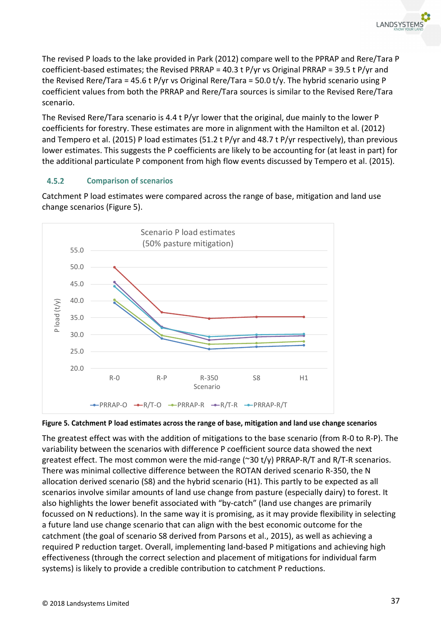The revised P loads to the lake provided in Park (2012) compare well to the PPRAP and Rere/Tara P coefficient-based estimates; the Revised PRRAP = 40.3 t P/yr vs Original PRRAP = 39.5 t P/yr and the Revised Rere/Tara = 45.6 t P/yr vs Original Rere/Tara = 50.0 t/y. The hybrid scenario using P coefficient values from both the PRRAP and Rere/Tara sources is similar to the Revised Rere/Tara scenario.

The Revised Rere/Tara scenario is 4.4 t P/yr lower that the original, due mainly to the lower P coefficients for forestry. These estimates are more in alignment with the Hamilton et al. (2012) and Tempero et al. (2015) P load estimates (51.2 t P/yr and 48.7 t P/yr respectively), than previous lower estimates. This suggests the P coefficients are likely to be accounting for (at least in part) for the additional particulate P component from high flow events discussed by Tempero et al. (2015).

### $4.5.2$ **Comparison of scenarios**

Catchment P load estimates were compared across the range of base, mitigation and land use change scenarios (Figure 5).





The greatest effect was with the addition of mitigations to the base scenario (from R-0 to R-P). The variability between the scenarios with difference P coefficient source data showed the next greatest effect. The most common were the mid-range (~30 t/y) PRRAP-R/T and R/T-R scenarios. There was minimal collective difference between the ROTAN derived scenario R-350, the N allocation derived scenario (S8) and the hybrid scenario (H1). This partly to be expected as all scenarios involve similar amounts of land use change from pasture (especially dairy) to forest. It also highlights the lower benefit associated with "by-catch" (land use changes are primarily focussed on N reductions). In the same way it is promising, as it may provide flexibility in selecting a future land use change scenario that can align with the best economic outcome for the catchment (the goal of scenario S8 derived from Parsons et al., 2015), as well as achieving a required P reduction target. Overall, implementing land-based P mitigations and achieving high effectiveness (through the correct selection and placement of mitigations for individual farm systems) is likely to provide a credible contribution to catchment P reductions.

**LANDSYSTE**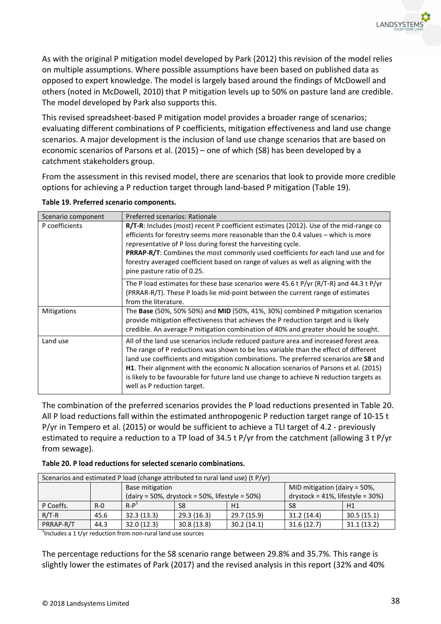As with the original P mitigation model developed by Park (2012) this revision of the model relies on multiple assumptions. Where possible assumptions have been based on published data as opposed to expert knowledge. The model is largely based around the findings of McDowell and others (noted in McDowell, 2010) that P mitigation levels up to 50% on pasture land are credible. The model developed by Park also supports this.

This revised spreadsheet-based P mitigation model provides a broader range of scenarios; evaluating different combinations of P coefficients, mitigation effectiveness and land use change scenarios. A major development is the inclusion of land use change scenarios that are based on economic scenarios of Parsons et al. (2015) – one of which (S8) has been developed by a catchment stakeholders group.

From the assessment in this revised model, there are scenarios that look to provide more credible options for achieving a P reduction target through land-based P mitigation (Table 19).

| Scenario component | Preferred scenarios: Rationale                                                                                                                                                                                                                                                                                                                                                                                                                                                                   |
|--------------------|--------------------------------------------------------------------------------------------------------------------------------------------------------------------------------------------------------------------------------------------------------------------------------------------------------------------------------------------------------------------------------------------------------------------------------------------------------------------------------------------------|
| P coefficients     | R/T-R: Includes (most) recent P coefficient estimates (2012). Use of the mid-range co<br>efficients for forestry seems more reasonable than the 0.4 values – which is more<br>representative of P loss during forest the harvesting cycle.<br><b>PRRAP-R/T:</b> Combines the most commonly used coefficients for each land use and for<br>forestry averaged coefficient based on range of values as well as aligning with the<br>pine pasture ratio of 0.25.                                     |
|                    | The P load estimates for these base scenarios were 45.6 t P/yr (R/T-R) and 44.3 t P/yr<br>(PRRAR-R/T). These P loads lie mid-point between the current range of estimates<br>from the literature.                                                                                                                                                                                                                                                                                                |
| Mitigations        | The Base (50%, 50% 50%) and MID (50%, 41%, 30%) combined P mitigation scenarios<br>provide mitigation effectiveness that achieves the P reduction target and is likely<br>credible. An average P mitigation combination of 40% and greater should be sought.                                                                                                                                                                                                                                     |
| Land use           | All of the land use scenarios include reduced pasture area and increased forest area.<br>The range of P reductions was shown to be less variable than the effect of different<br>land use coefficients and mitigation combinations. The preferred scenarios are S8 and<br><b>H1.</b> Their alignment with the economic N allocation scenarios of Parsons et al. (2015)<br>is likely to be favourable for future land use change to achieve N reduction targets as<br>well as P reduction target. |

**Table 19. Preferred scenario components.** 

The combination of the preferred scenarios provides the P load reductions presented in Table 20. All P load reductions fall within the estimated anthropogenic P reduction target range of 10-15 t P/yr in Tempero et al. (2015) or would be sufficient to achieve a TLI target of 4.2 - previously estimated to require a reduction to a TP load of 34.5 t P/yr from the catchment (allowing 3 t P/yr from sewage).

|           | Scenarios and estimated P load (change attributed to rural land use) (t P/yr) |                 |                                                                                            |             |            |            |  |  |  |
|-----------|-------------------------------------------------------------------------------|-----------------|--------------------------------------------------------------------------------------------|-------------|------------|------------|--|--|--|
|           |                                                                               | Base mitigation | MID mitigation (dairy = 50%,                                                               |             |            |            |  |  |  |
|           |                                                                               |                 | drystock = $41\%$ , lifestyle = $30\%$ )<br>(dairy = 50%, drystock = 50%, lifestyle = 50%) |             |            |            |  |  |  |
| P Coeffs. | $R - Q$                                                                       | $R-P1$          | S8                                                                                         | H1          | S8         | H1         |  |  |  |
| $R/T-R$   | 45.6                                                                          | 32.3(13.3)      | 29.3(16.3)                                                                                 | 29.7 (15.9) | 31.2(14.4) | 30.5(15.1) |  |  |  |
| PRRAP-R/T | 44.3                                                                          | 32.0(12.3)      | 30.8(13.8)                                                                                 | 30.2(14.1)  | 31.6(12.7) | 31.1(13.2) |  |  |  |

 $1$ Includes a 1 t/yr reduction from non-rural land use sources

The percentage reductions for the S8 scenario range between 29.8% and 35.7%. This range is slightly lower the estimates of Park (2017) and the revised analysis in this report (32% and 40%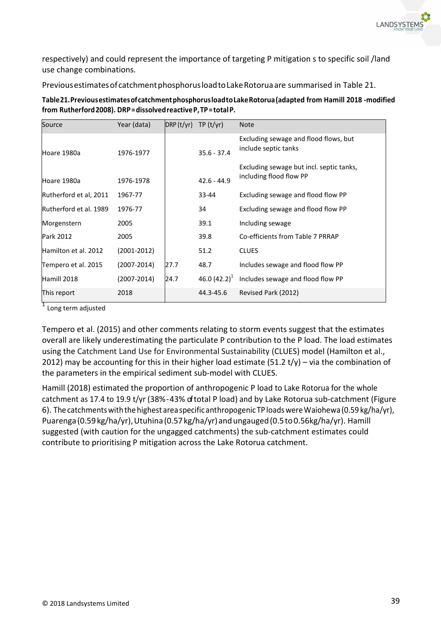

respectively) and could represent the importance of targeting P mitigation s to specific soil /land use change combinations.

Previous estimates of catchment phosphorus load to Lake Rotorua are summarised in Table 21.

| Source                 | Year (data)     | DRP(t/yr) | TP(t/yr)          | <b>Note</b>                                                   |
|------------------------|-----------------|-----------|-------------------|---------------------------------------------------------------|
| Hoare 1980a            | 1976-1977       |           | $35.6 - 37.4$     | Excluding sewage and flood flows, but<br>include septic tanks |
|                        |                 |           |                   | Excluding sewage but incl. septic tanks,                      |
| Hoare 1980a            | 1976-1978       |           | $42.6 - 44.9$     | including flood flow PP                                       |
| Rutherford et al, 2011 | 1967-77         |           | 33-44             | Excluding sewage and flood flow PP                            |
| Rutherford et al. 1989 | 1976-77         |           | 34                | Excluding sewage and flood flow PP                            |
| Morgenstern            | 2005            |           | 39.1              | Including sewage                                              |
| Park 2012              | 2005            |           | 39.8              | Co-efficients from Table 7 PRRAP                              |
| Hamilton et al. 2012   | $(2001 - 2012)$ |           | 51.2              | <b>CLUES</b>                                                  |
| Tempero et al. 2015    | $(2007 - 2014)$ | 27.7      | 48.7              | Includes sewage and flood flow PP                             |
| Hamill 2018            | (2007-2014)     | 24.7      | 46.0 $(42.2)^{1}$ | Includes sewage and flood flow PP                             |
| This report            | 2018            |           | 44.3-45.6         | Revised Park (2012)                                           |

**Table 21. Previous estimates of catchment phosphorus load to Lake Rotorua (adapted from Hamill 2018 -modified from Rutherford 2008). DRP = dissolved reactive P, TP = total P.** 

<sup>1</sup> Long term adjusted

Tempero et al. (2015) and other comments relating to storm events suggest that the estimates overall are likely underestimating the particulate P contribution to the P load. The load estimates using the Catchment Land Use for Environmental Sustainability (CLUES) model (Hamilton et al., 2012) may be accounting for this in their higher load estimate (51.2  $t/y$ ) – via the combination of the parameters in the empirical sediment sub-model with CLUES.

Hamill (2018) estimated the proportion of anthropogenic P load to Lake Rotorua for the whole catchment as 17.4 to 19.9 t/yr (38% - 43% of total P load) and by Lake Rotorua sub-catchment (Figure 6). The catchments with the highest area specific anthropogenic TP loads were Waiohewa (0.59 kg/ha/yr), Puarenga (0.59 kg/ha/yr), Utuhina (0.57 kg/ha/yr) and ungauged (0.5 to 0.56kg/ha/yr). Hamill suggested (with caution for the ungagged catchments) the sub-catchment estimates could contribute to prioritising P mitigation across the Lake Rotorua catchment.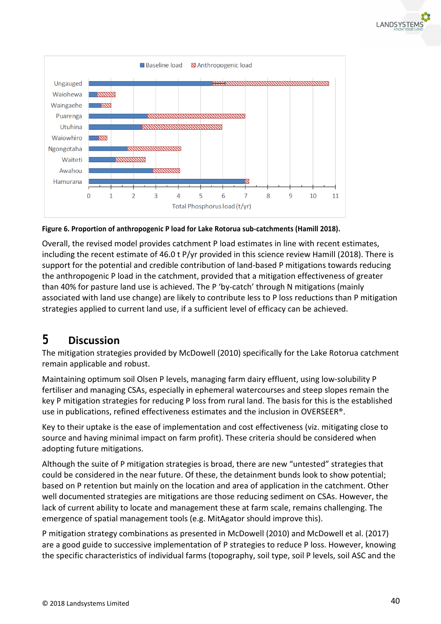



**Figure 6. Proportion of anthropogenic P load for Lake Rotorua sub-catchments (Hamill 2018).** 

Overall, the revised model provides catchment P load estimates in line with recent estimates, including the recent estimate of 46.0 t P/yr provided in this science review Hamill (2018). There is support for the potential and credible contribution of land-based P mitigations towards reducing the anthropogenic P load in the catchment, provided that a mitigation effectiveness of greater than 40% for pasture land use is achieved. The P 'by-catch' through N mitigations (mainly associated with land use change) are likely to contribute less to P loss reductions than P mitigation strategies applied to current land use, if a sufficient level of efficacy can be achieved.

# **5 Discussion**

The mitigation strategies provided by McDowell (2010) specifically for the Lake Rotorua catchment remain applicable and robust.

Maintaining optimum soil Olsen P levels, managing farm dairy effluent, using low-solubility P fertiliser and managing CSAs, especially in ephemeral watercourses and steep slopes remain the key P mitigation strategies for reducing P loss from rural land. The basis for this is the established use in publications, refined effectiveness estimates and the inclusion in OVERSEER®.

Key to their uptake is the ease of implementation and cost effectiveness (viz. mitigating close to source and having minimal impact on farm profit). These criteria should be considered when adopting future mitigations.

Although the suite of P mitigation strategies is broad, there are new "untested" strategies that could be considered in the near future. Of these, the detainment bunds look to show potential; based on P retention but mainly on the location and area of application in the catchment. Other well documented strategies are mitigations are those reducing sediment on CSAs. However, the lack of current ability to locate and management these at farm scale, remains challenging. The emergence of spatial management tools (e.g. MitAgator should improve this).

P mitigation strategy combinations as presented in McDowell (2010) and McDowell et al. (2017) are a good guide to successive implementation of P strategies to reduce P loss. However, knowing the specific characteristics of individual farms (topography, soil type, soil P levels, soil ASC and the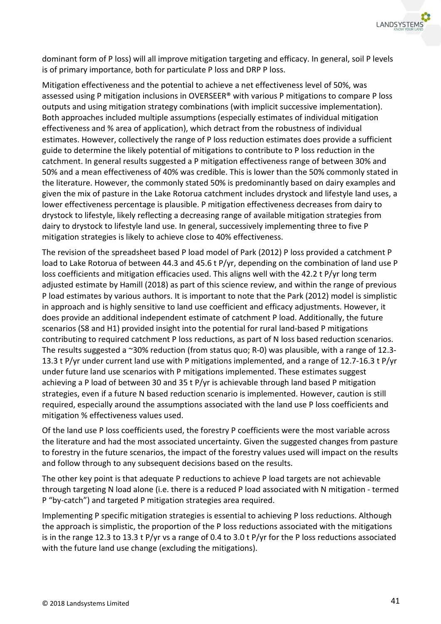

dominant form of P loss) will all improve mitigation targeting and efficacy. In general, soil P levels is of primary importance, both for particulate P loss and DRP P loss.

Mitigation effectiveness and the potential to achieve a net effectiveness level of 50%, was assessed using P mitigation inclusions in OVERSEER® with various P mitigations to compare P loss outputs and using mitigation strategy combinations (with implicit successive implementation). Both approaches included multiple assumptions (especially estimates of individual mitigation effectiveness and % area of application), which detract from the robustness of individual estimates. However, collectively the range of P loss reduction estimates does provide a sufficient guide to determine the likely potential of mitigations to contribute to P loss reduction in the catchment. In general results suggested a P mitigation effectiveness range of between 30% and 50% and a mean effectiveness of 40% was credible. This is lower than the 50% commonly stated in the literature. However, the commonly stated 50% is predominantly based on dairy examples and given the mix of pasture in the Lake Rotorua catchment includes drystock and lifestyle land uses, a lower effectiveness percentage is plausible. P mitigation effectiveness decreases from dairy to drystock to lifestyle, likely reflecting a decreasing range of available mitigation strategies from dairy to drystock to lifestyle land use. In general, successively implementing three to five P mitigation strategies is likely to achieve close to 40% effectiveness.

The revision of the spreadsheet based P load model of Park (2012) P loss provided a catchment P load to Lake Rotorua of between 44.3 and 45.6 t P/yr, depending on the combination of land use P loss coefficients and mitigation efficacies used. This aligns well with the 42.2 t P/yr long term adjusted estimate by Hamill (2018) as part of this science review, and within the range of previous P load estimates by various authors. It is important to note that the Park (2012) model is simplistic in approach and is highly sensitive to land use coefficient and efficacy adjustments. However, it does provide an additional independent estimate of catchment P load. Additionally, the future scenarios (S8 and H1) provided insight into the potential for rural land-based P mitigations contributing to required catchment P loss reductions, as part of N loss based reduction scenarios. The results suggested a ~30% reduction (from status quo; R-0) was plausible, with a range of 12.3-13.3 t P/yr under current land use with P mitigations implemented, and a range of 12.7-16.3 t P/yr under future land use scenarios with P mitigations implemented. These estimates suggest achieving a P load of between 30 and 35 t P/yr is achievable through land based P mitigation strategies, even if a future N based reduction scenario is implemented. However, caution is still required, especially around the assumptions associated with the land use P loss coefficients and mitigation % effectiveness values used.

Of the land use P loss coefficients used, the forestry P coefficients were the most variable across the literature and had the most associated uncertainty. Given the suggested changes from pasture to forestry in the future scenarios, the impact of the forestry values used will impact on the results and follow through to any subsequent decisions based on the results.

The other key point is that adequate P reductions to achieve P load targets are not achievable through targeting N load alone (i.e. there is a reduced P load associated with N mitigation - termed P "by-catch") and targeted P mitigation strategies area required.

Implementing P specific mitigation strategies is essential to achieving P loss reductions. Although the approach is simplistic, the proportion of the P loss reductions associated with the mitigations is in the range 12.3 to 13.3 t P/yr vs a range of 0.4 to 3.0 t P/yr for the P loss reductions associated with the future land use change (excluding the mitigations).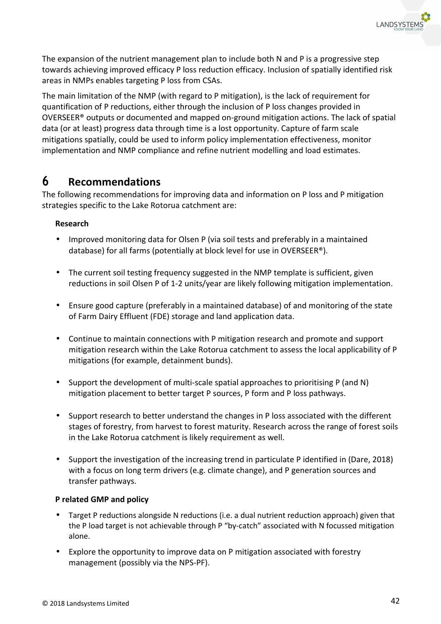

The expansion of the nutrient management plan to include both N and P is a progressive step towards achieving improved efficacy P loss reduction efficacy. Inclusion of spatially identified risk areas in NMPs enables targeting P loss from CSAs.

The main limitation of the NMP (with regard to P mitigation), is the lack of requirement for quantification of P reductions, either through the inclusion of P loss changes provided in OVERSEER® outputs or documented and mapped on-ground mitigation actions. The lack of spatial data (or at least) progress data through time is a lost opportunity. Capture of farm scale mitigations spatially, could be used to inform policy implementation effectiveness, monitor implementation and NMP compliance and refine nutrient modelling and load estimates.

# **6 Recommendations**

The following recommendations for improving data and information on P loss and P mitigation strategies specific to the Lake Rotorua catchment are:

## **Research**

- Improved monitoring data for Olsen P (via soil tests and preferably in a maintained database) for all farms (potentially at block level for use in OVERSEER®).
- The current soil testing frequency suggested in the NMP template is sufficient, given reductions in soil Olsen P of 1-2 units/year are likely following mitigation implementation.
- Ensure good capture (preferably in a maintained database) of and monitoring of the state of Farm Dairy Effluent (FDE) storage and land application data.
- Continue to maintain connections with P mitigation research and promote and support mitigation research within the Lake Rotorua catchment to assess the local applicability of P mitigations (for example, detainment bunds).
- Support the development of multi-scale spatial approaches to prioritising P (and N) mitigation placement to better target P sources, P form and P loss pathways.
- Support research to better understand the changes in P loss associated with the different stages of forestry, from harvest to forest maturity. Research across the range of forest soils in the Lake Rotorua catchment is likely requirement as well.
- Support the investigation of the increasing trend in particulate P identified in (Dare, 2018) with a focus on long term drivers (e.g. climate change), and P generation sources and transfer pathways.

## **P related GMP and policy**

- Target P reductions alongside N reductions (i.e. a dual nutrient reduction approach) given that the P load target is not achievable through P "by-catch" associated with N focussed mitigation alone.
- Explore the opportunity to improve data on P mitigation associated with forestry management (possibly via the NPS-PF).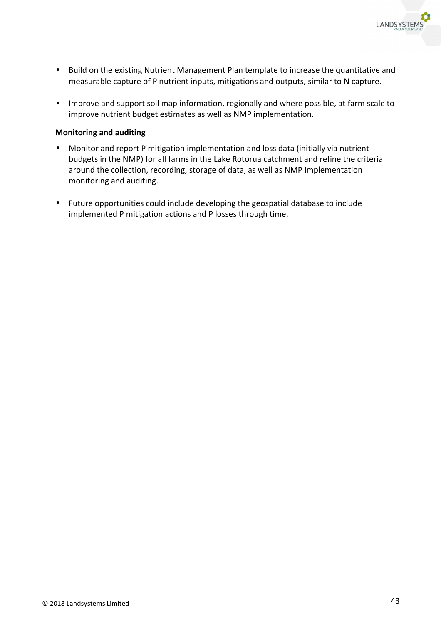

- Build on the existing Nutrient Management Plan template to increase the quantitative and measurable capture of P nutrient inputs, mitigations and outputs, similar to N capture.
- Improve and support soil map information, regionally and where possible, at farm scale to improve nutrient budget estimates as well as NMP implementation.

## **Monitoring and auditing**

- Monitor and report P mitigation implementation and loss data (initially via nutrient budgets in the NMP) for all farms in the Lake Rotorua catchment and refine the criteria around the collection, recording, storage of data, as well as NMP implementation monitoring and auditing.
- Future opportunities could include developing the geospatial database to include implemented P mitigation actions and P losses through time.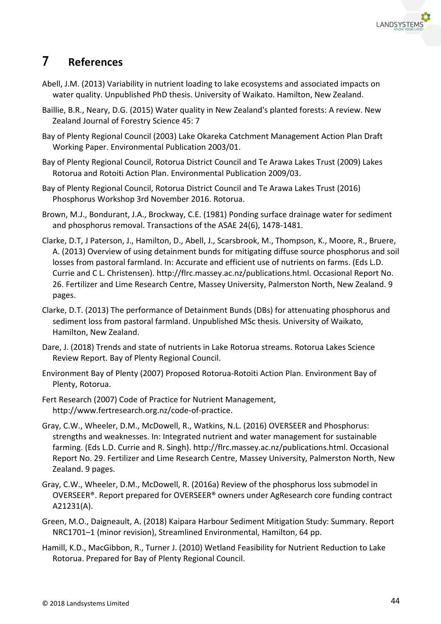

# **7 References**

- Abell, J.M. (2013) Variability in nutrient loading to lake ecosystems and associated impacts on water quality. Unpublished PhD thesis. University of Waikato. Hamilton, New Zealand.
- Baillie, B.R., Neary, D.G. (2015) Water quality in New Zealand's planted forests: A review. New Zealand Journal of Forestry Science 45: 7
- Bay of Plenty Regional Council (2003) Lake Okareka Catchment Management Action Plan Draft Working Paper. Environmental Publication 2003/01.
- Bay of Plenty Regional Council, Rotorua District Council and Te Arawa Lakes Trust (2009) Lakes Rotorua and Rotoiti Action Plan. Environmental Publication 2009/03.
- Bay of Plenty Regional Council, Rotorua District Council and Te Arawa Lakes Trust (2016) Phosphorus Workshop 3rd November 2016. Rotorua.
- Brown, M.J., Bondurant, J.A., Brockway, C.E. (1981) Ponding surface drainage water for sediment and phosphorus removal. Transactions of the ASAE 24(6), 1478-1481.
- Clarke, D.T, J Paterson, J., Hamilton, D., Abell, J., Scarsbrook, M., Thompson, K., Moore, R., Bruere, A. (2013) Overview of using detainment bunds for mitigating diffuse source phosphorus and soil losses from pastoral farmland. In: Accurate and efficient use of nutrients on farms. (Eds L.D. Currie and C L. Christensen). http://flrc.massey.ac.nz/publications.html. Occasional Report No. 26. Fertilizer and Lime Research Centre, Massey University, Palmerston North, New Zealand. 9 pages.
- Clarke, D.T. (2013) The performance of Detainment Bunds (DBs) for attenuating phosphorus and sediment loss from pastoral farmland. Unpublished MSc thesis. University of Waikato, Hamilton, New Zealand.
- Dare, J. (2018) Trends and state of nutrients in Lake Rotorua streams. Rotorua Lakes Science Review Report. Bay of Plenty Regional Council.
- Environment Bay of Plenty (2007) Proposed Rotorua-Rotoiti Action Plan. Environment Bay of Plenty, Rotorua.
- Fert Research (2007) Code of Practice for Nutrient Management, http://www.fertresearch.org.nz/code-of-practice.
- Gray, C.W., Wheeler, D.M., McDowell, R., Watkins, N.L. (2016) OVERSEER and Phosphorus: strengths and weaknesses. In: Integrated nutrient and water management for sustainable farming. (Eds L.D. Currie and R. Singh). http://flrc.massey.ac.nz/publications.html. Occasional Report No. 29. Fertilizer and Lime Research Centre, Massey University, Palmerston North, New Zealand. 9 pages.
- Gray, C.W., Wheeler, D.M., McDowell, R. (2016a) Review of the phosphorus loss submodel in OVERSEER®. Report prepared for OVERSEER® owners under AgResearch core funding contract A21231(A).
- Green, M.O., Daigneault, A. (2018) Kaipara Harbour Sediment Mitigation Study: Summary. Report NRC1701–1 (minor revision), Streamlined Environmental, Hamilton, 64 pp.
- Hamill, K.D., MacGibbon, R., Turner J. (2010) Wetland Feasibility for Nutrient Reduction to Lake Rotorua. Prepared for Bay of Plenty Regional Council.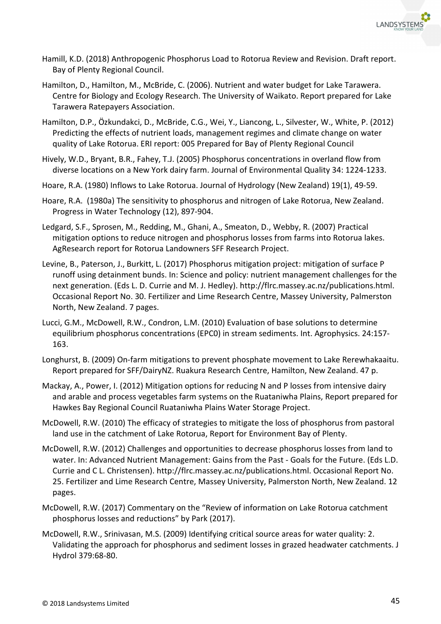

- Hamill, K.D. (2018) Anthropogenic Phosphorus Load to Rotorua Review and Revision. Draft report. Bay of Plenty Regional Council.
- Hamilton, D., Hamilton, M., McBride, C. (2006). Nutrient and water budget for Lake Tarawera. Centre for Biology and Ecology Research. The University of Waikato. Report prepared for Lake Tarawera Ratepayers Association.
- Hamilton, D.P., Özkundakci, D., McBride, C.G., Wei, Y., Liancong, L., Silvester, W., White, P. (2012) Predicting the effects of nutrient loads, management regimes and climate change on water quality of Lake Rotorua. ERI report: 005 Prepared for Bay of Plenty Regional Council
- Hively, W.D., Bryant, B.R., Fahey, T.J. (2005) Phosphorus concentrations in overland flow from diverse locations on a New York dairy farm. Journal of Environmental Quality 34: 1224-1233.
- Hoare, R.A. (1980) Inflows to Lake Rotorua. Journal of Hydrology (New Zealand) 19(1), 49-59.
- Hoare, R.A. (1980a) The sensitivity to phosphorus and nitrogen of Lake Rotorua, New Zealand. Progress in Water Technology (12), 897-904.
- Ledgard, S.F., Sprosen, M., Redding, M., Ghani, A., Smeaton, D., Webby, R. (2007) Practical mitigation options to reduce nitrogen and phosphorus losses from farms into Rotorua lakes. AgResearch report for Rotorua Landowners SFF Research Project.
- Levine, B., Paterson, J., Burkitt, L. (2017) Phosphorus mitigation project: mitigation of surface P runoff using detainment bunds. In: Science and policy: nutrient management challenges for the next generation. (Eds L. D. Currie and M. J. Hedley). http://flrc.massey.ac.nz/publications.html. Occasional Report No. 30. Fertilizer and Lime Research Centre, Massey University, Palmerston North, New Zealand. 7 pages.
- Lucci, G.M., McDowell, R.W., Condron, L.M. (2010) Evaluation of base solutions to determine equilibrium phosphorus concentrations (EPC0) in stream sediments. Int. Agrophysics. 24:157- 163.
- Longhurst, B. (2009) On-farm mitigations to prevent phosphate movement to Lake Rerewhakaaitu. Report prepared for SFF/DairyNZ. Ruakura Research Centre, Hamilton, New Zealand. 47 p.
- Mackay, A., Power, I. (2012) Mitigation options for reducing N and P losses from intensive dairy and arable and process vegetables farm systems on the Ruataniwha Plains, Report prepared for Hawkes Bay Regional Council Ruataniwha Plains Water Storage Project.
- McDowell, R.W. (2010) The efficacy of strategies to mitigate the loss of phosphorus from pastoral land use in the catchment of Lake Rotorua, Report for Environment Bay of Plenty.
- McDowell, R.W. (2012) Challenges and opportunities to decrease phosphorus losses from land to water. In: Advanced Nutrient Management: Gains from the Past - Goals for the Future. (Eds L.D. Currie and C L. Christensen). http://flrc.massey.ac.nz/publications.html. Occasional Report No. 25. Fertilizer and Lime Research Centre, Massey University, Palmerston North, New Zealand. 12 pages.
- McDowell, R.W. (2017) Commentary on the "Review of information on Lake Rotorua catchment phosphorus losses and reductions" by Park (2017).
- McDowell, R.W., Srinivasan, M.S. (2009) Identifying critical source areas for water quality: 2. Validating the approach for phosphorus and sediment losses in grazed headwater catchments. J Hydrol 379:68-80.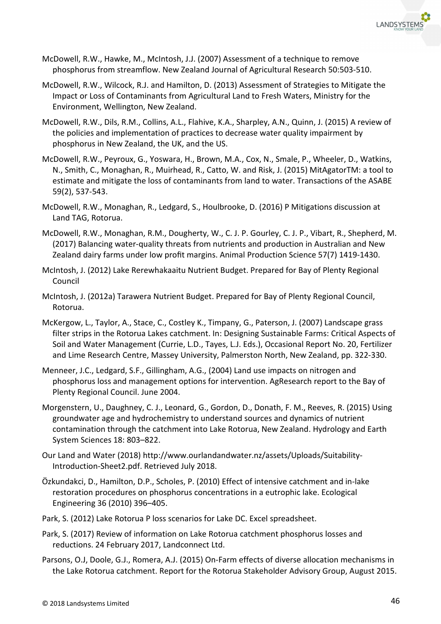

- McDowell, R.W., Hawke, M., McIntosh, J.J. (2007) Assessment of a technique to remove phosphorus from streamflow. New Zealand Journal of Agricultural Research 50:503-510.
- McDowell, R.W., Wilcock, R.J. and Hamilton, D. (2013) Assessment of Strategies to Mitigate the Impact or Loss of Contaminants from Agricultural Land to Fresh Waters, Ministry for the Environment, Wellington, New Zealand.
- McDowell, R.W., Dils, R.M., Collins, A.L., Flahive, K.A., Sharpley, A.N., Quinn, J. (2015) A review of the policies and implementation of practices to decrease water quality impairment by phosphorus in New Zealand, the UK, and the US.
- McDowell, R.W., Peyroux, G., Yoswara, H., Brown, M.A., Cox, N., Smale, P., Wheeler, D., Watkins, N., Smith, C., Monaghan, R., Muirhead, R., Catto, W. and Risk, J. (2015) MitAgatorTM: a tool to estimate and mitigate the loss of contaminants from land to water. Transactions of the ASABE 59(2), 537-543.
- McDowell, R.W., Monaghan, R., Ledgard, S., Houlbrooke, D. (2016) P Mitigations discussion at Land TAG, Rotorua.
- McDowell, R.W., Monaghan, R.M., Dougherty, W., C. J. P. Gourley, C. J. P., Vibart, R., Shepherd, M. (2017) Balancing water-quality threats from nutrients and production in Australian and New Zealand dairy farms under low profit margins. Animal Production Science 57(7) 1419-1430.
- McIntosh, J. (2012) Lake Rerewhakaaitu Nutrient Budget. Prepared for Bay of Plenty Regional Council
- McIntosh, J. (2012a) Tarawera Nutrient Budget. Prepared for Bay of Plenty Regional Council, Rotorua.
- McKergow, L., Taylor, A., Stace, C., Costley K., Timpany, G., Paterson, J. (2007) Landscape grass filter strips in the Rotorua Lakes catchment. In: Designing Sustainable Farms: Critical Aspects of Soil and Water Management (Currie, L.D., Tayes, L.J. Eds.), Occasional Report No. 20, Fertilizer and Lime Research Centre, Massey University, Palmerston North, New Zealand, pp. 322-330.
- Menneer, J.C., Ledgard, S.F., Gillingham, A.G., (2004) Land use impacts on nitrogen and phosphorus loss and management options for intervention. AgResearch report to the Bay of Plenty Regional Council. June 2004.
- Morgenstern, U., Daughney, C. J., Leonard, G., Gordon, D., Donath, F. M., Reeves, R. (2015) Using groundwater age and hydrochemistry to understand sources and dynamics of nutrient contamination through the catchment into Lake Rotorua, New Zealand. Hydrology and Earth System Sciences 18: 803–822.
- Our Land and Water (2018) http://www.ourlandandwater.nz/assets/Uploads/Suitability-Introduction-Sheet2.pdf. Retrieved July 2018.
- Özkundakci, D., Hamilton, D.P., Scholes, P. (2010) Effect of intensive catchment and in-lake restoration procedures on phosphorus concentrations in a eutrophic lake. Ecological Engineering 36 (2010) 396–405.
- Park, S. (2012) Lake Rotorua P loss scenarios for Lake DC. Excel spreadsheet.
- Park, S. (2017) Review of information on Lake Rotorua catchment phosphorus losses and reductions. 24 February 2017, Landconnect Ltd.
- Parsons, O.J, Doole, G.J., Romera, A.J. (2015) On-Farm effects of diverse allocation mechanisms in the Lake Rotorua catchment. Report for the Rotorua Stakeholder Advisory Group, August 2015.